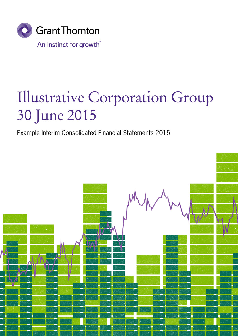

# Illustrative Corporation Group 30 June 2015

Example Interim Consolidated Financial Statements 2015

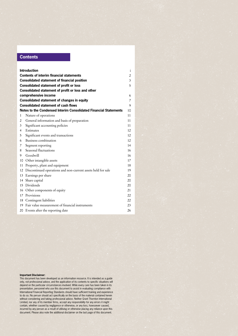#### **Contents**

|              | <b>Introduction</b>                                              | $\mathbf{i}$ |
|--------------|------------------------------------------------------------------|--------------|
|              | <b>Contents of interim financial statements</b>                  | 2            |
|              | <b>Consolidated statement of financial position</b>              | 3            |
|              | <b>Consolidated statement of profit or loss</b>                  | 5            |
|              | Consolidated statement of profit or loss and other               |              |
|              | comprehensive income                                             | 6            |
|              | <b>Consolidated statement of changes in equity</b>               | 7            |
|              | <b>Consolidated statement of cash flows</b>                      | 9            |
|              | Notes to the Condensed Interim Consolidated Financial Statements | 10           |
| $\mathbf{1}$ | Nature of operations                                             | 11           |
| 2            | General information and basis of preparation                     | 11           |
| 3            | Significant accounting policies                                  | 11           |
| 4            | Estimates                                                        | 12           |
| 5            | Significant events and transactions                              | 12           |
| 6            | Business combination                                             | 12           |
| 7            | Segment reporting                                                | 14           |
| 8            | Seasonal fluctuations                                            | 16           |
| 9            | Goodwill                                                         | 16           |
|              | 10 Other intangible assets                                       | 17           |
| 11           | Property, plant and equipment                                    | 18           |
| 12           | Discontinued operations and non-current assets held for sale     | 19           |
| 13           | Earnings per share                                               | 20           |
| 14           | Share capital                                                    | 20           |
| 15           | Dividends                                                        | 20           |
| 16           | Other components of equity                                       | 21           |
| 17           | Provisions                                                       | 22           |
| 18           | Contingent liabilities                                           | 22           |
| 19           | Fair value measurement of financial instruments                  | 23           |
|              | 20 Events after the reporting date                               | 26           |

#### **Important Disclaimer:**

This document has been developed as an information resource. It is intended as a guide only, not professional advice, and the application of its contents to specific situations will depend on the particular circumstances involved. While every care has been taken in its presentation, personnel who use this document to assist in evaluating compliance with International Financial Reporting Standards should have sufficient training and experience to do so. No person should act specifically on the basis of the material contained herein without considering and taking professional advice. Neither Grant Thornton International Limited, nor any of its member firms, accept any responsibility for any errors it might contain, whether caused by negligence or otherwise, or any loss, howsoever caused, incurred by any person as a result of utilising or otherwise placing any reliance upon this document. Please also note the additional disclaimer on the last page of this document.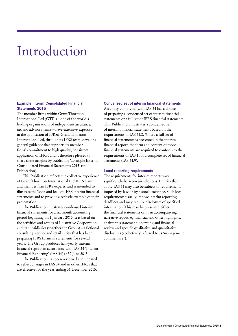# Introduction

#### **Example Interim Consolidated Financial Statements 2015**

The member firms within Grant Thornton International Ltd (GTIL) – one of the world's leading organisations of independent assurance, tax and advisory firms – have extensive expertise in the application of IFRSs. Grant Thornton International Ltd, through its IFRS team, develops general guidance that supports its member firms' commitment to high quality, consistent application of IFRSs and is therefore pleased to share these insights by publishing 'Example Interim Consolidated Financial Statements 2015' (the Publication).

This Publication reflects the collective experience of Grant Thornton International Ltd IFRS team and member firm IFRS experts, and is intended to illustrate the 'look and feel' of IFRS interim financial statements and to provide a realistic example of their presentation.

The Publication illustrates condensed interim financial statements for a six month accounting period beginning on 1 January 2015. It is based on the activities and results of Illustrative Corporation and its subsidiaries (together the Group) – a fictional consulting, service and retail entity that has been preparing IFRS financial statements for several years. The Group produces half-yearly interim financial reports in accordance with IAS 34 'Interim Financial Reporting' (IAS 34) at 30 June 2015.

The Publication has been reviewed and updated to reflect changes in IAS 34 and in other IFRSs that are effective for the year ending 31 December 2015.

#### **Condensed set of interim financial statements**

An entity complying with IAS 34 has a choice of preparing a condensed set of interim financial statements or a full set of IFRS financial statements. This Publication illustrates a condensed set of interim financial statements based on the requirements of IAS 34.8. Where a full set of financial statements is presented in the interim financial report, the form and content of those financial statements are required to conform to the requirements of IAS 1 for a complete set of financial statements (IAS 34.9).

#### **Local reporting requirements**

The requirements for interim reports vary significantly between jurisdictions. Entities that apply IAS 34 may also be subject to requirements imposed by law or by a stock exchange. Such local requirements usually impose interim reporting deadlines and may require disclosure of specified information. This may be presented either in the financial statements or in an accompanying narrative report, eg financial and other highlights, chairman's statement, operating and financial review and specific qualitative and quantitative disclosures (collectively referred to as 'management commentary').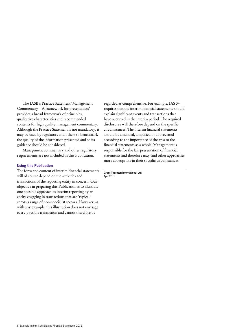The IASB's Practice Statement 'Management Commentary – A framework for presentation' provides a broad framework of principles, qualitative characteristics and recommended contents for high quality management commentary. Although the Practice Statement is not mandatory, it may be used by regulators and others to benchmark the quality of the information presented and so its guidance should be considered.

Management commentary and other regulatory requirements are not included in this Publication.

#### **Using this Publication**

The form and content of interim financial statements will of course depend on the activities and transactions of the reporting entity in concern. Our objective in preparing this Publication is to illustrate one possible approach to interim reporting by an entity engaging in transactions that are 'typical' across a range of non-specialist sectors. However, as with any example, this illustration does not envisage every possible transaction and cannot therefore be

regarded as comprehensive. For example, IAS 34 requires that the interim financial statements should explain significant events and transactions that have occurred in the interim period. The required disclosures will therefore depend on the specific circumstances. The interim financial statements should be amended, amplified or abbreviated according to the importance of the area to the financial statements as a whole. Management is responsible for the fair presentation of financial statements and therefore may find other approaches more appropriate in their specific circumstances.

**Grant Thornton International Ltd** April 2015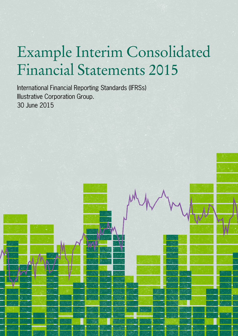# Example Interim Consolidated Financial Statements 2015

International Financial Reporting Standards (IFRSs) Illustrative Corporation Group. 30 June 2015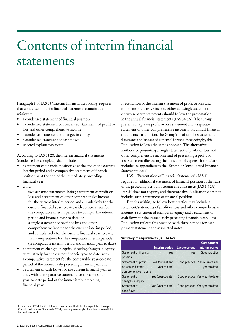# Contents of interim financial statements

Paragraph 8 of IAS 34 'Interim Financial Reporting' requires that condensed interim financial statements contain at a minimum:

- a condensed statement of financial position
- a condensed statement or condensed statements of profit or loss and other comprehensive income
- a condensed statement of changes in equity
- a condensed statement of cash flows
- selected explanatory notes.

According to IAS 34.20, the interim financial statements (condensed or complete) shall include:

- a statement of financial position as at the end of the current interim period and a comparative statement of financial position as at the end of the immediately preceding financial year
- either:
	- two separate statements, being a statement of profit or loss and a statement of other comprehensive income for the current interim period and cumulatively for the current financial year to date, with comparatives for the comparable interim periods (ie comparable interim period and financial year to date) or
	- a single statement of profit or loss and other comprehensive income for the current interim period, and cumulatively for the current financial year to date, with comparatives for the comparable interim periods (ie comparable interim period and financial year to date)
- a statement of changes in equity showing changes in equity cumulatively for the current financial year to date, with a comparative statement for the comparable year-to-date period of the immediately preceding financial year and
- a statement of cash flows for the current financial year to date, with a comparative statement for the comparable year-to-date period of the immediately preceding financial year.

Presentation of the interim statement of profit or loss and other comprehensive income either as a single statement or two separate statements should follow the presentation in the annual financial statements (IAS 34.8A). The Group presents a separate profit or loss statement and a separate statement of other comprehensive income in its annual financial statements. In addition, the Group's profit or loss statement illustrates the 'nature of expense' format. Accordingly, this Publication follows the same approach. The alternative methods of presenting a single statement of profit or loss and other comprehensive income and of presenting a profit or loss statement illustrating the 'function of expense format' are included as appendices to the 'Example Consolidated Financial Statements 2014'1 .

IAS 1 'Presentation of Financial Statements' (IAS 1) requires an additional statement of financial position at the start of the preceding period in certain circumstances (IAS 1.40A). IAS 34 does not require, and therefore this Publication does not include, such a statement of financial position.

Entities wishing to follow best practice may include a statement/statements of profit or loss and other comprehensive income, a statement of changes in equity and a statement of cash flows for the immediately preceding financial year. This Publication reflects this practice, with three periods for each primary statement and associated notes.

#### **Summary of requirements (IAS 34.A2)**

|                        |                    |               | <b>Comparative</b>               |
|------------------------|--------------------|---------------|----------------------------------|
|                        | Interim period     | Last year end | interim period                   |
| Statement of financial | Yes                | Yes           | Good practice                    |
| position               |                    |               |                                  |
| Statement of profit    | Yes (current and   |               | Good practice Yes (current and   |
| or loss and other      | year-to-date)      |               | year-to-date)                    |
| comprehensive income   |                    |               |                                  |
| Statement of           | Yes (year-to-date) |               | Good practice Yes (year-to-date) |
| changes in equity      |                    |               |                                  |
| Statement of           | Yes (year-to-date) |               | Good practice Yes (year-to-date) |
| cash flows             |                    |               |                                  |

<sup>&</sup>lt;sup>1</sup> In September 2014, the Grant Thornton International Ltd IFRS Team published 'Example<br>Consolidated Financial Statements 2014', providing an example of a full set of annual IFRS financial statements.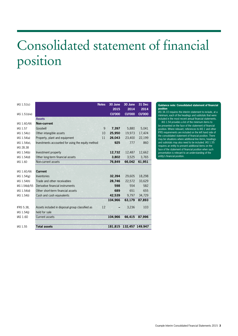# Consolidated statement of financial position

| IAS $1.51(c)$     |                                                   | <b>Notes</b> | 30 June<br>2015 | 30 June<br>2014 | 31 Dec<br>2014  |
|-------------------|---------------------------------------------------|--------------|-----------------|-----------------|-----------------|
| IAS 1.51(d-e)     |                                                   |              | <b>CU'000</b>   | <b>CU'000</b>   | <b>CU'000</b>   |
|                   | <b>Assets</b>                                     |              |                 |                 |                 |
| IAS 1.60/66       | <b>Non-current</b>                                |              |                 |                 |                 |
| <b>IAS 1.57</b>   | Goodwill                                          | 9            | 7,397           | 5,880           | 5,041           |
| IAS 1.54(c)       | Other intangible assets                           | 10           | 25,950          | 19,973          | 17,424          |
| IAS 1.54(a)       | Property, plant and equipment                     | 11           | 26,043          | 23,400          | 22,199          |
| IAS 1.54(e).      | Investments accounted for using the equity method |              | 925             | 777             | 860             |
| <b>IAS 28.38</b>  |                                                   |              |                 |                 |                 |
| IAS 1.54(b)       | Investment property                               |              | 12,732          | 12,487          | 12,662          |
| IAS 1.54(d)       | Other long-term financial assets                  |              | 3,802           | 3,525           | 3,765           |
| <b>IAS 1.60</b>   | Non-current assets                                |              | 76,849          | 66,042          | 61,951          |
|                   |                                                   |              |                 |                 |                 |
| IAS 1.60/66       | <b>Current</b>                                    |              |                 |                 |                 |
| IAS $1.54(g)$     | Inventories                                       |              | 32,394          | 29,605          | 18,298          |
| IAS 1.54(h)       | Trade and other receivables                       |              | 28,746          | 22,572          | 33,629          |
| IAS 1.54(d)/55    | Derivative financial instruments                  |              | 598             | 554             | 582             |
| IAS 1.54(d)       | Other short-term financial assets                 |              | 689             | 651             | 655             |
| IAS 1.54(i)       | Cash and cash equivalents                         |              | 42,539          | 9,797           | 34,729          |
|                   |                                                   |              | 104,966         | 63.179          | 87,893          |
| <b>IFRS 5.38.</b> | Assets included in disposal group classified as   | 12           |                 | 3,236           | 103             |
| IAS 1.54(i)       | held for sale                                     |              |                 |                 |                 |
| <b>IAS 1.60</b>   | <b>Current assets</b>                             |              | 104,966         | 66,415          | 87,996          |
|                   |                                                   |              |                 |                 |                 |
| <b>IAS 1.55</b>   | <b>Total assets</b>                               |              | 181.815         |                 | 132.457 149.947 |

#### **Guidance note: Consolidated statement of financial position**

IAS 34.10 requires the interim statement to include, at a minimum, each of the headings and subtotals that were included in the most recent annual financial statements.

IAS 1.54 provides a list of the minimum items to be presented on the face of the statement of financial position. Where relevant, references to IAS 1 and other IFRS requirements are included on the left hand side of the consolidated statement of financial position. There may be situations where additional line items, headings and subtotals may also need to be included. IAS 1.55 requires an entity to present additional items on the face of the statement of financial position when such presentation is relevant to an understanding of the entity's financial position.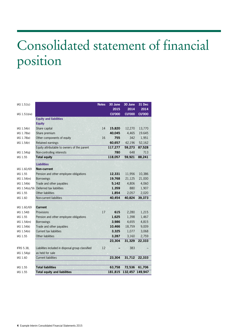# Consolidated statement of financial position

| IAS 1.51(c)       |                                                   | <b>Notes</b> | 30 June       | 30 June         | 31 Dec        |
|-------------------|---------------------------------------------------|--------------|---------------|-----------------|---------------|
|                   |                                                   |              | 2015          | 2014            | 2014          |
| IAS 1.51(d-e)     |                                                   |              | <b>CU'000</b> | <b>CU'000</b>   | <b>CU'000</b> |
|                   | <b>Equity and liabilities</b>                     |              |               |                 |               |
|                   | <b>Equity</b>                                     |              |               |                 |               |
| IAS 1.54(r)       | Share capital                                     | 14           | 15,820        | 12,270          | 13,770        |
| IAS 1.78(e)       | Share premium                                     |              | 40,045        | 4,465           | 19,645        |
| IAS 1.78(e)       | Other components of equity                        | 16           | 755           | 342             | 1,951         |
| IAS 1.54(r)       | <b>Retained earnings</b>                          |              | 60,657        | 42,196          | 52,162        |
|                   | Equity attributable to owners of the parent       |              | 117,277       | 59,273          | 87,528        |
| IAS 1.54(q)       | Non-controlling interests                         |              | 780           | 648             | 713           |
| IAS 1.55          | <b>Total equity</b>                               |              | 118,057       | 59,921          | 88,241        |
|                   | <b>Liabilities</b>                                |              |               |                 |               |
| IAS 1.60/69       | <b>Non-current</b>                                |              |               |                 |               |
| IAS 1.55          | Pension and other employee obligations            |              | 12,331        | 11,956          | 10,386        |
| IAS 1.54(m)       | <b>Borrowings</b>                                 |              | 19,768        | 21,125          | 21,000        |
| IAS 1.54(k)       | Trade and other payables                          |              | 5,142         | 4,806           | 4,060         |
| IAS 1.54(o)/56    | Deferred tax liabilities                          |              | 1,359         | 880             | 1,907         |
| IAS 1.55          | Other liabilities                                 |              | 1,854         | 2,057           | 2,020         |
| IAS 1.60          | Non-current liabilities                           |              | 40,454        | 40,824          | 39,373        |
|                   |                                                   |              |               |                 |               |
| IAS 1.60/69       | <b>Current</b>                                    |              |               |                 |               |
| IAS 1.54(I)       | Provisions                                        | 17           | 615           | 2,280           | 1,215         |
| <b>IAS 1.55</b>   | Pension and other employee obligations            |              | 1,625         | 1,398           | 1,467         |
| IAS $1.54(m)$     | <b>Borrowings</b>                                 |              | 3,986         | 4,655           | 4,815         |
| IAS 1.54(k)       | Trade and other payables                          |              | 10,466        | 18,759          | 9,009         |
| IAS 1.54(n)       | <b>Current tax liabilities</b>                    |              | 3,325         | 1,077           | 3,068         |
| IAS 1.55          | Other liabilities                                 |              | 3,287         | 3,160           | 2,759         |
|                   |                                                   |              | 23,304        | 31,329          | 22,333        |
| <b>IFRS 5.38,</b> | Liabilities included in disposal group classified | 12           |               | 383             |               |
| IAS 1.54(p)       | as held for sale                                  |              |               |                 |               |
| IAS 1.60          | <b>Current liabilities</b>                        |              | 23,304        | 31,712          | 22,333        |
|                   |                                                   |              |               |                 |               |
| IAS 1.55          | <b>Total liabilities</b>                          |              | 63,758        | 72,536          | 61,706        |
| IAS 1.55          | <b>Total equity and liabilities</b>               |              | 181,815       | 132,457 149,947 |               |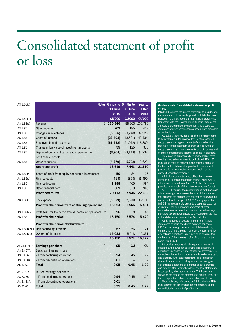# Consolidated statement of profit or loss

| IAS $1.51(c)$     |                                                              | Notes 6 mths to 6 mths to |               | Year to               |
|-------------------|--------------------------------------------------------------|---------------------------|---------------|-----------------------|
|                   |                                                              | 30 June                   | 30 June       | 31 Dec                |
|                   |                                                              | 2015                      | 2014          | 2014                  |
| IAS 1.51(d-e)     |                                                              | <b>CU'000</b>             | <b>CU'000</b> | <b>CU'000</b>         |
| IAS 1.82(a)       | 8<br>Revenue                                                 | 116,846                   |               | 88,863 205,793        |
| <b>IAS 1.85</b>   | Other income                                                 | 202                       | 185           | 427                   |
| <b>IAS 1.85</b>   | Changes in inventories                                       | (5,066)                   | (3, 248)      | (7, 923)              |
| <b>IAS 1.85</b>   | Costs of material                                            | (23, 403)                 |               | $(18,501)$ $(42,434)$ |
| <b>IAS 1.85</b>   | Employee benefits expense                                    | (61, 232)                 |               | $(51,042)$ (113,809)  |
| <b>IAS 1.85</b>   | Change in fair value of investment property                  | 55                        | 125           | 310                   |
| <b>IAS 1.85</b>   | Depreciation, amortisation and impairment of                 | (3,904)                   | (3, 143)      | (7, 932)              |
|                   | non-financial assets                                         |                           |               |                       |
| <b>IAS 1.85</b>   | Other expenses                                               | (4, 879)                  | (5,798)       | (12,622)              |
|                   | <b>Operating profit</b>                                      | 18,619                    | 7,441         | 21,810                |
| IAS 1.82(c)       | Share of profit from equity accounted investments            | 50                        | 84            | 135                   |
| IAS 1.82(b)       | <b>Finance costs</b>                                         | (413)                     | (393)         | (1, 490)              |
| <b>IAS 1.85</b>   | Finance income                                               | 1,188                     | 465           | 994                   |
| <b>IAS 1.85</b>   | Other financial items                                        | 669                       | 339           | 943                   |
|                   | <b>Profit before tax</b>                                     | 20,113                    | 7,936         | 22,392                |
| IAS 1.82(d)       | Tax expense                                                  | (5,059)                   | (2,370)       | (6, 911)              |
|                   | Profit for the period from continuing operations             | 15,054                    | 5,566         | 15,481                |
| IAS 1.82(ea)      | Profit (loss) for the period from discontinued operations 12 | 96                        | 8             | (9)                   |
| <b>IAS 1.85</b>   | Profit for the period                                        | 15,150                    | 5,574         | 15,472                |
|                   |                                                              |                           |               |                       |
|                   | Profit for the period attributable to:                       |                           |               |                       |
| IAS 1.81B(a)(i)   | Non-controlling interests                                    | 67                        | 56            | 121                   |
| IAS 1.81B(a)(ii)  | Owners of the parent                                         | 15,083                    | 5,518         | 15,351                |
|                   |                                                              | 15,150                    | 5,574         | 15,472                |
| IAS 34.11/11A     | 13<br><b>Earnings per share</b>                              | CU                        | <b>CU</b>     | <b>CU</b>             |
| <b>IAS 33.67A</b> | Basic earnings per share                                     |                           |               |                       |
| IAS 33.66         | - From continuing operations                                 | 0.94                      | 0.45          | 1.22                  |
| <b>IAS 33.68A</b> | - From discontinued operations                               | 0.01                      |               |                       |
| IAS 33.66         | <b>Total</b>                                                 | 0.95                      | 0.45          | 1.22                  |
| <b>IAS 33.67A</b> | Diluted earnings per share                                   |                           |               |                       |
| IAS 33.66         | - From continuing operations                                 | 0.94                      | 0.45          | 1.22                  |
| <b>IAS 33.68A</b> | - From discontinued operations                               | 0.01                      |               |                       |
| IAS 33.66         | <b>Total</b>                                                 | 0.95                      | 0.45          | 1.22                  |

#### **Guidance note: Consolidated statement of profit or loss**

IAS 34.10 requires the interim statement to include, at a minimum, each of the headings and subtotals that were included in the most recent annual financial statements. Consistent with the Group's annual financial statements, a separate statement of profit or loss and a separate statement of other comprehensive income are presented in this Publication.

IAS 1.82(a)-(ea) provides a list of the minimum items to be presented in the profit or loss section (when an entity presents a single statement of comprehensive income) or in the statement of profit or loss (when an entity presents separate statements of profit or loss and of other comprehensive income, as in this Publication).

There may be situations where additional line items. headings and subtotals need to be included. IAS 1.85 requires an entity to present such additional items on the face of the statement of profit or loss when such presentation is relevant to an understanding of the entity's financial performance.

IAS 1 allows an entity to use either the 'nature of expense' or 'function of expense' format, whichever is reliable and more relevant (IAS 1.99). This Publication provides an example of the 'nature of expense' format.

IAS 34.11 requires the presentation of both basic and diluted earnings per share on the face of the statement that presents the components of profit or loss when the entity is within the scope of IAS 33 'Earnings per Share' (IAS 33). Where an entity presents a separate statement of profit or loss and separate statement of other comprehensive income, the basic and diluted earnings per share (EPS) figures should be presented on the face of the statement of profit or loss (IAS 34.11A).

IAS 33 requires disclosure in the annual financial statements of basic and diluted earnings per share (EPS) for continuing operations and total operations, on the face of the statement of profit and loss. EPS for discontinued operations is required to be shown either on the face of the statement of profit or loss or in the notes (IAS 33.68).

IAS 34 does not specifically require disclosure of separate EPS figures for continuing and discontinued operations in condensed interim financial statements. In our opinion the minimum requirement is to disclose basic and diluted EPS for total operations. This Publication also includes separate EPS figures for continuing and discontinued operations as a matter of good practice and for consistency with the annual financial statements. In our opinion, when such separate EPS figures are shown on the face of the statement of profit or loss, EPS for total operations should also be shown on the face. Where relevant, references to IAS 1 and other IFRSs requirements are included on the left hand side of the consolidated statement of profit or loss.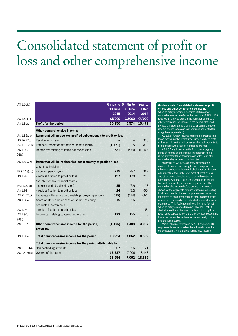# Consolidated statement of profit or loss and other comprehensive income

| IAS $1.51(c)$    |                                                                    | 6 mths to 6 mths to |               | Year to       |
|------------------|--------------------------------------------------------------------|---------------------|---------------|---------------|
|                  |                                                                    | 30 June             | 30 June       | 31 Dec        |
|                  |                                                                    | 2015                | 2014          | 2014          |
| IAS 1.51(d-e)    |                                                                    | <b>CU'000</b>       | <b>CU'000</b> | <b>CU'000</b> |
| <b>IAS 1.81A</b> | Profit for the period                                              | 15,150              | 5,574         | 15,472        |
|                  | Other comprehensive income:                                        |                     |               |               |
| IAS 1.82A(a)     | Items that will not be reclassified subsequently to profit or loss |                     |               |               |
| IAS 16.77(f)     | Revaluation of land                                                |                     |               | 303           |
|                  | IAS 19.120(c) Remeasurement of net defined benefit liability       | (1,771)             | 1,915         | 3,830         |
| IAS 1.90/        | Income tax relating to items not reclassified                      | 531                 | (575)         | (1,240)       |
| 91(b)            |                                                                    |                     |               |               |
| IAS 1.82A(b)     | Items that will be reclassified subsequently to profit or loss     |                     |               |               |
|                  | Cash flow hedging                                                  |                     |               |               |
| IFRS 7.23(c-d)   | - current period gains                                             | 215                 | 287           | 367           |
| <b>IAS 1.92</b>  | - reclassification to profit or loss                               | 157                 | 178           | 260           |
|                  | Available-for-sale financial assets                                |                     |               |               |
| IFRS 7.20(a)(ii) | - current period gains (losses)                                    | 35                  | (22)          | 113           |
| <b>IAS 1.92</b>  | - reclassification to profit or loss                               | 24                  | (32)          | (50)          |
| IAS 21.52(b)     | Exchange differences on translating foreign operations             | (575)               | (414)         | (664)         |
| <b>IAS 1.82A</b> | Share of other comprehensive income of equity                      | 15                  | 26            | 5             |
|                  | accounted investments                                              |                     |               |               |
| <b>IAS 1.92</b>  | - reclassification to profit or loss                               |                     |               | (3)           |
| IAS 1.90/        | Income tax relating to items reclassified                          | 173                 | 125           | 176           |
| 91(b)            |                                                                    |                     |               |               |
| <b>IAS 1.81A</b> | Other comprehensive income for the period,                         | (1, 196)            | 1,488         | 3,097         |
|                  | net of tax                                                         |                     |               |               |
| <b>IAS 1.81A</b> | Total comprehensive income for the period                          | 13,954              | 7,062         | 18,569        |
|                  | Total comprehensive income for the period attributable to:         |                     |               |               |
| IAS 1.81B(b)(i)  | Non-controlling interests                                          | 67                  | 56            | 121           |
| IAS 1.81B(b)(ii) | Owners of the parent                                               | 13,887              | 7,006         | 18,448        |
|                  |                                                                    | 13,954              | 7,062         | 18,569        |

#### **Guidance note: Consolidated statement of profit or loss and other comprehensive income** When an entity presents a separate statement of comprehensive income (as in this Publication), IAS 1.82A requires an entity to present line items for amounts of other comprehensive income in the period, classified

by nature (including share of the other comprehensive income of associates and joint ventures accounted for using the equity method). IAS 1.82A further requires items to be grouped into

those that will not be reclassified subsequently to profit or loss and those that will be reclassified subsequently to profit or loss when specific conditions are met.

IAS 1.87 precludes an entity from presenting any items of income or expense as extraordinary items, in the statement(s) presenting profit or loss and other comprehensive income, or in the notes.

According to IAS 1.90, an entity discloses the amount of income tax relating to each component of other comprehensive income, including reclassification adjustments, either in the statement of profit or loss and other comprehensive income or in the notes. In accordance with IAS 1.91(b), the Group, in its annual financial statements, presents components of other comprehensive income before tax with one amount shown for the aggregate amount of income tax relating to all components of other comprehensive income. The tax effects of each component of other comprehensive income are disclosed in the notes to the annual financial statements. This Publication follows the same format. When an entity selects alternative (b) of IAS 1.91, it shall allocate the tax between the items that might be reclassified subsequently to the profit or loss section and those that will not be reclassified subsequently to the profit or loss section.

Where relevant, references to IAS 1 and other IFRS requirements are included on the left hand side of the consolidated statement of comprehensive income.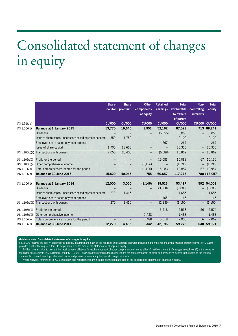# Consolidated statement of changes in equity

|                   |                                                         | <b>Share</b>             | <b>Share</b>  | <b>Other</b>            | <b>Retained</b>          | <b>Total</b>              | Non-                            | <b>Total</b>         |
|-------------------|---------------------------------------------------------|--------------------------|---------------|-------------------------|--------------------------|---------------------------|---------------------------------|----------------------|
|                   |                                                         | capital                  | premium       | components<br>of equity | earnings                 | attributable<br>to owners | controlling<br><b>interests</b> | equity               |
|                   |                                                         |                          |               |                         |                          | of parent                 |                                 |                      |
| IAS 1.51(d-e)     |                                                         | <b>CU'000</b>            | <b>CU'000</b> | <b>CU'000</b>           | <b>CU'000</b>            | <b>CU'000</b>             |                                 | <b>CU'000 CU'000</b> |
| IAS 1.106(d)      | <b>Balance at 1 January 2015</b>                        | 13,770                   | 19,645        | 1,951                   | 52,162                   | 87,528                    |                                 | 713 88,241           |
|                   | <b>Dividends</b>                                        |                          |               |                         | (6, 855)                 | (6, 855)                  |                                 | (6, 855)             |
|                   | Issue of share capital under share-based payment scheme | 350                      | 1,750         |                         |                          | 2,100                     |                                 | 2,100                |
|                   | Employee share-based payment options                    |                          |               | -                       | 267                      | 267                       | $\qquad \qquad -$               | 267                  |
|                   | Issue of share capital                                  | 1,700                    | 18,650        | $\qquad \qquad -$       | $\overline{\phantom{0}}$ | 20,350                    | -                               | 20,350               |
| IAS 1.106(d)(iii) | Transactions with owners                                | 2,050                    | 20,400        | $\qquad \qquad -$       | (6,588)                  | 15,862                    | $-$                             | 15,862               |
| IAS 1.106(d)(i)   | Profit for the period                                   |                          |               |                         | 15,083                   | 15,083                    | 67                              | 15,150               |
| IAS 1.106(d)(ii)  | Other comprehensive income                              |                          |               | (1, 196)                | $\qquad \qquad -$        | (1, 196)                  |                                 | (1, 196)             |
| IAS 1.106(a)      | Total comprehensive income for the period               |                          |               | (1, 196)                | 15,083                   | 13,887                    | 67                              | 13,954               |
| IAS 1.106(d)      | Balance at 30 June 2015                                 | 15,820                   | 40,045        | 755                     | 60,657                   | 117,277                   |                                 | 780 118,057          |
|                   |                                                         |                          |               |                         |                          |                           |                                 |                      |
| IAS 1.106(d)      | <b>Balance at 1 January 2014</b>                        | 12,000                   | 3,050         | (1, 146)                | 39,513                   | 53,417                    | 592                             | 54.009               |
|                   | <b>Dividends</b>                                        |                          |               |                         | (3,000)                  | (3,000)                   |                                 | (3,000)              |
|                   | Issue of share capital under share-based payment scheme | 270                      | 1,415         |                         |                          | 1,685                     |                                 | 1,685                |
|                   | Employee share-based payment options                    |                          |               | —                       | 165                      | 165                       |                                 | 165                  |
| IAS 1.106(d)(iii) | Transactions with owners                                | 270                      | 1,415         | $\qquad \qquad -$       | (2,835)                  | (1, 150)                  | $\overline{\phantom{a}}$        | (1, 150)             |
| IAS 1.106(d)(i)   | Profit for the period                                   |                          |               | -                       | 5,518                    | 5,518                     | 56                              | 5,574                |
| IAS 1.106(d)(ii)  | Other comprehensive income                              |                          |               | 1,488                   |                          | 1,488                     | $\qquad \qquad -$               | 1,488                |
| IAS 1.106(a)      | Total comprehensive income for the period               | $\overline{\phantom{0}}$ | -             | 1,488                   | 5,518                    | 7,006                     | 56                              | 7,062                |
| IAS 1.106(d)      | Balance at 30 June 2014                                 | 12,270                   | 4,465         | 342                     | 42,196                   | 59,273                    |                                 | 648 59,921           |

**Guidance note: Consolidated statement of changes in equity**

IAS 34.10 requires the interim statement to include, at a minimum, each of the headings and subtotals that were included in the most recent annual financial statements while IAS 1.106 provides a list of the required items to be presented on the face of the statement of changes in equity.

Entities have a choice to present the required reconciliations for each component of other comprehensive income either (1) in the statement of changes in equity or (2) in the notes to the financial statements (IAS 1.106(d)(ii) and IAS 1.106A). This Publication presents the reconciliations for each component of other comprehensive income in the notes to the financial statements. This reduces duplicated disclosures and presents more clearly the overall changes in equity.

Where relevant, references to IAS 1 and other IFRS requirements are included on the left hand side of the consolidated statement of changes in equity.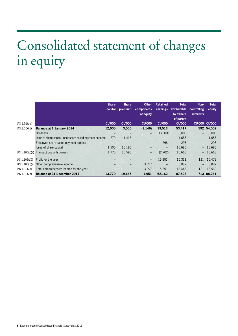# Consolidated statement of changes in equity

|                   |                                                         | <b>Share</b>  | <b>Share</b>      | <b>Other</b>  | <b>Retained</b>   | <b>Total</b>  | Non-                     | <b>Total</b>         |  |
|-------------------|---------------------------------------------------------|---------------|-------------------|---------------|-------------------|---------------|--------------------------|----------------------|--|
|                   |                                                         | capital       | premium           | components    | earnings          | attributable  | controlling              | equity               |  |
|                   |                                                         |               |                   | of equity     |                   | to owners     | <b>interests</b>         |                      |  |
|                   |                                                         |               |                   |               |                   | of parent     |                          |                      |  |
| IAS 1.51(d-e)     |                                                         | <b>CU'000</b> | <b>CU'000</b>     | <b>CU'000</b> | <b>CU'000</b>     | <b>CU'000</b> |                          | <b>CU'000 CU'000</b> |  |
| IAS 1.106(d)      | <b>Balance at 1 January 2014</b>                        | 12,000        | 3,050             | (1, 146)      | 39,513            | 53,417        |                          | 592 54,009           |  |
|                   | <b>Dividends</b>                                        |               |                   | -             | (3,000)           | (3,000)       | $\qquad \qquad -$        | (3,000)              |  |
|                   | Issue of share capital under share-based payment scheme | 270           | 1,415             | -             | $\qquad \qquad$   | 1,685         | $\qquad \qquad -$        | 1,685                |  |
|                   | Employee share-based payment options                    |               |                   | -             | 298               | 298           | $\qquad \qquad -$        | 298                  |  |
|                   | Issue of share capital                                  | 1,500         | 15,180            |               | $\qquad \qquad -$ | 16,680        | $\qquad \qquad -$        | 16,680               |  |
| IAS 1.106(d)(iii) | Transactions with owners                                | 1,770         | 16,595            | -             | (2,702)           | 15,663        | $\overline{\phantom{0}}$ | 15,663               |  |
| IAS 1.106(d)(i)   | Profit for the year                                     |               |                   | -             | 15,351            | 15,351        | 121                      | 15,472               |  |
| IAS 1.106(d)(ii)  | Other comprehensive income                              |               | $\qquad \qquad -$ | 3,097         |                   | 3,097         | $\qquad \qquad -$        | 3,097                |  |
| IAS 1.106(a)      | Total comprehensive income for the year                 |               |                   | 3,097         | 15,351            | 18,448        | 121                      | 18,569               |  |
| IAS 1.106(d)      | Balance at 31 December 2014                             | 13,770        | 19,645            | 1,951         | 52,162            | 87,528        |                          | 713 88.241           |  |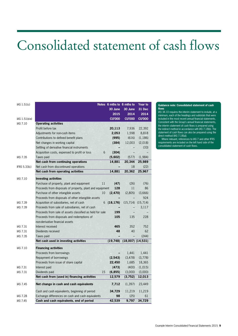# Consolidated statement of cash flows

| IAS 1.51(c)<br>Notes 6 mths to 6 mths to                                  |               | <b>Year to</b>        |
|---------------------------------------------------------------------------|---------------|-----------------------|
| 30 June                                                                   | 30 June       | 31 Dec                |
| 2015                                                                      | 2014          | 2014                  |
| <b>CU'000</b><br>IAS 1.51(d-e)                                            | <b>CU'000</b> | <b>CU'000</b>         |
| <b>Operating activities</b><br><b>IAS 7.10</b>                            |               |                       |
| Profit before tax<br>20,113                                               | 7,936         | 22,392                |
| Adjustments for non-cash items<br>2,053                                   | 1,598         | 8,818                 |
| Contributions to defined benefit plans<br>(995)                           | (616)         | (1, 186)              |
| Net changes in working capital<br>(384)                                   | 12,003        | (2,018)               |
| Settling of derivative financial instruments                              |               | (33)                  |
| Acquisition costs, expensed to profit or loss<br>6<br>(304)               |               |                       |
| Taxes paid<br>IAS 7.35<br>(5,602)                                         | (577)         | (1,984)               |
| Net cash from continuing operations<br>14,881                             | 20,344        | 25,989                |
| Net cash from discontinued operations<br>IFRS $5.33(c)$                   | 18            | (22)                  |
| 14,881<br>Net cash from operating activities                              | 20,362        | 25,967                |
| <b>IAS 7.10</b><br><b>Investing activities</b>                            |               |                       |
| Purchase of property, plant and equipment<br>11                           | (47)<br>(26)  | (76)                  |
| Proceeds from disposals of property, plant and equipment                  | 128<br>11     | 86                    |
| Purchase of other intangible assets<br>10<br>(2, 470)                     | (2,805)       | (3,666)               |
| Proceeds from disposals of other intangible assets                        |               | 924                   |
| <b>IAS 7.39</b><br>Acquisition of subsidiaries, net of cash<br>6(18, 176) | (15, 714)     | (15, 714)             |
| Proceeds from sale of subsidiaries, net of cash<br><b>IAS 7.39</b>        |               | 3,117                 |
| Proceeds from sale of assets classified as held for sale                  | 199           |                       |
| Proceeds from disposals and redemptions of                                | 105<br>135    | 228                   |
| non-derivative financial assets                                           |               |                       |
| Interest received<br><b>IAS 7.31</b>                                      | 352<br>465    | 752                   |
| Dividends received<br>IAS 7.31                                            | 40<br>48      | 62                    |
| <b>IAS 7.35</b><br>Taxes paid                                             |               | (244)                 |
| Net cash used in investing activities<br>(19, 748)                        |               | $(18,007)$ $(14,531)$ |
| IAS 7.10<br><b>Financing activities</b>                                   |               |                       |
| Proceeds from borrowings                                                  | 1,441         | 1,441                 |
| Repayment of borrowings<br>(2, 543)                                       | (3, 478)      | (3,778)               |
| Proceeds from issue of share capital<br>22,450                            | 1,685         | 18,365                |
| Interest paid<br><b>IAS 7.31</b><br>(473)                                 | (400)         | (1,015)               |
| IAS 7.31<br>Dividends paid<br>15<br>(6, 855)                              | (3,000)       | (3,000)               |
| Net cash from (used in) financing activities<br>12,579                    | (3,752)       | 12,013                |
| <b>IAS 7.45</b><br>Net change in cash and cash equivalents<br>7,712       | (1, 397)      | 23,449                |
| 34,729<br>Cash and cash equivalents, beginning of period                  | 11,219        | 11,219                |
| <b>IAS 7.28</b><br>Exchange differences on cash and cash equivalents      | 98<br>(25)    | 61                    |
| 42,539<br><b>IAS 7.45</b><br>Cash and cash equivalents, end of period     | 9,797         | 34,729                |

#### **Guidance note: Consolidated statement of cash flows**

IAS 34.10 requires the interim statement to include, at a minimum, each of the headings and subtotals that were included in the most recent annual financial statements. Consistent with the Group's annual financial statements, the interim statement of cash flows is prepared using the indirect method in accordance with IAS 7.18(b). The statement of cash flows can also be prepared using the direct method (IAS 7.18(a)).

Where relevant, references to IAS 7 and other IFRS requirements are included on the left hand side of the consolidated statement of cash flows.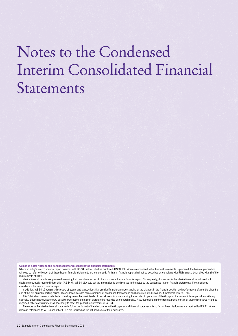# Notes to the Condensed Interim Consolidated Financial Statements

**Guidance note: Notes to the condensed interim consolidated financial statements**

Where an entity's interim financial report complies with IAS 34 that fact shall be disclosed (IAS 34.19). Where a condensed set of financial statements is prepared, the basis of preparation will need to refer to the fact that these interim financial statements are 'condensed'. An interim financial report shall not be described as compling with IFRSs unless it complies with all of the requirements of IFRSs.

Interim financial reports are prepared assuming that users have access to the most recent annual financial report. Consequently, disclosures in the interim financial report need not duplicate previously reported information (IAS 34.6). IAS 34.16A sets out the information to be disclosed in the notes to the condensed interim financial statements, if not disclosed elsewhere in the interim financial report.

In addition, IAS 34.15 requires disclosure of events and transactions that are significant to an understanding of the changes in the financial position and performance of an entity since the end of the last annual reporting period. The guidance includes some examples of events and transactions which may require disclosure, if significant (IAS 34.15B).

This Publication presents selected explanatory notes that are intended to assist users in understanding the results of operations of the Group for the current interim period. As with any example, it does not envisage every possible transaction and cannot therefore be regarded as comprehensive. Also, depending on the circumstances, certain of these disclosures might be regarded either as voluntary or as necessary to meet the general requirements of IAS 34.

The notes to the interim financial statements follow the format of the disclosures in the Group's annual financial statements in so far as these disclosures are required by IAS 34. Where relevant, references to IAS 34 and other IFRSs are included on the left hand side of the disclosures.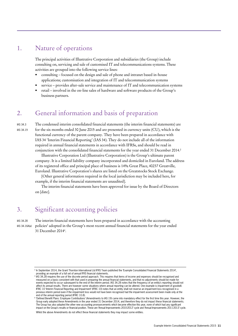## 1. Nature of operations

 The principal activities of Illustrative Corporation and subsidiaries (the Group) include consulting on, servicing and sale of customised IT and telecommunications systems. These activities are grouped into the following service lines:

- consulting focused on the design and sale of phone and intranet based in-house applications; customisation and integration of IT and telecommunication systems
- service provides after-sale service and maintenance of IT and telecommunication systems
- retail involved in the on-line sales of hardware and software products of the Group's business partners.

### 2. General information and basis of preparation

IAS 34.3 The condensed interim consolidated financial statements (the interim financial statements) are IAS 34.19 for the six months ended 30 June 2015 and are presented in currency units (CU), which is the functional currency of the parent company. They have been prepared in accordance with IAS 34 'Interim Financial Reporting' (IAS 34). They do not include all of the information required in annual financial statements in accordance with IFRSs, and should be read in conjunction with the consolidated financial statements for the year ended 31 December 2014.<sup>2</sup>

> Illustrative Corporation Ltd (Illustrative Corporation) is the Group's ultimate parent company. It is a limited liability company incorporated and domiciled in Euroland. The address of its registered office and principal place of business is 149a Great Place, 40237 Greatville, Euroland. Illustrative Corporation's shares are listed on the Greatstocks Stock Exchange.

 [Other general information required in the local jurisdiction may be included here, for example, if the interim financial statements are unaudited].

 The interim financial statements have been approved for issue by the Board of Directors on [date].

## 3. Significant accounting policies

IAS 34.28The interim financial statements have been prepared in accordance with the accounting IAS 34.16A(a) policies<sup>3</sup> adopted in the Group's most recent annual financial statements for the year ended 31 December 20144 .

<sup>&</sup>lt;sup>2</sup> In September 2014, the Grant Thornton International Ltd IFRS Team published the 'Example Consolidated Financial Statements 2014', providing an example of a full set of annual IFRS financial statements.

<sup>&</sup>lt;sup>3</sup> IAS 34.28 requires the use of the discrete period approach. This requires that items of income and expenses should be recognised and measured on a basis consistent with that used in preparing the annual financial statements, and that no adjustments should be made for events expected to occur subsequent to the end of the interim period. IAS 34.28 notes that the frequency of an entity's reporting should not affect its annual results. There are however some situations where annual reporting can be altered. One example is impairment of goodwill. IFRIC 10 'Interim Financial Reporting and Impairment' (IFRIC 10) notes that an entity shall not reverse an impairment loss recognised in a previous interim period even if the impairment loss would not have been recognised had the impairment assessment been made only at the end of the annual reporting period (IFRIC 10.8).

<sup>4 &#</sup>x27;Defined Benefit Plans: Employee Contributions' (Amendments to IAS 19) came into mandatory effect for the first time this year. However, the Group early adopted these Amendments in the year ended 31 December 2014, and therefore they do not impact these financial statements. The Group has also adopted the other new accounting pronouncements which became effective this year, none of which had any significant impact on the Group's results or financial position. These are 'Annual Improvements 2010-2012' cycle and 'Annual Improvements 2011-2013' cycle. Whilst the above Amendments do not effect these financial statements they may impact some entities.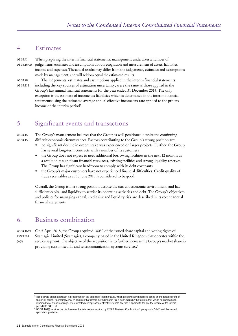### 4. Estimates

IAS 34.41 When preparing the interim financial statements, management undertakes a number of IAS 34.16A(d) judgements, estimates and assumptions about recognition and measurement of assets, liabilities, income and expenses. The actual results may differ from the judgements, estimates and assumptions made by management, and will seldom equal the estimated results.

IAS 34.28 The judgements, estimates and assumptions applied in the interim financial statements, IAS 34.B12 including the key sources of estimation uncertainty, were the same as those applied in the Group's last annual financial statements for the year ended 31 December 2014. The only exception is the estimate of income tax liabilities which is determined in the interim financial statements using the estimated average annual effective income tax rate applied to the pre-tax income of the interim period<sup>5</sup>.

## 5. Significant events and transactions

IAS 34.15 The Group's management believes that the Group is well positioned despite the continuing IAS 34.15C difficult economic circumstances. Factors contributing to the Group's strong position are:

- no significant decline in order intake was experienced on larger projects. Further, the Group has several long-term contracts with a number of its customers
- the Group does not expect to need additional borrowing facilities in the next 12 months as a result of its significant financial resources, existing facilities and strong liquidity reserves. The Group has significant headroom to comply with its debt covenants
- the Group's major customers have not experienced financial difficulties. Credit quality of trade receivables as at 30 June 2015 is considered to be good.

 Overall, the Group is in a strong position despite the current economic environment, and has sufficient capital and liquidity to service its operating activities and debt. The Group's objectives and policies for managing capital, credit risk and liquidity risk are described in its recent annual financial statements.

### 6. Business combination

IAS 34.16A(i) On 5 April 2015, the Group acquired 100% of the issued share capital and voting rights of IFRS 3.B64 Sysmagic Limited (Sysmagic), a company based in the United Kingdom that operates within the (a)-(d) service segment. The objective of the acquisition is to further increase the Group's market share in providing customised IT and telecommunication systems services.<sup>6</sup>

<sup>5</sup> The discrete period approach is problematic in the context of income taxes, which are generally measured based on the taxable profit of an annual period. Accordingly, IAS 34 requires that interim period income tax is accrued using the tax rate that would be applicable to expected total annual earnings. The estimated average annual effective income tax rate is applied to the pre-tax income of the interim period (IAS 34.B12). 6 IAS 34.16A(i) requires the disclosure of the information required by IFRS 3 'Business Combinations' (paragraphs 59-63 and the related

application guidance).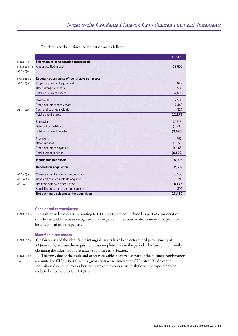The details of the business combination are as follows:

|                         |                                                | <b>CU'000</b> |
|-------------------------|------------------------------------------------|---------------|
| <b>IFRS 3.B64(f)</b>    | <b>Fair value of consideration transferred</b> |               |
| <b>IFRS 3.B64(f)(i)</b> | Amount settled in cash                         | 18,500        |
| IAS 7.40(a)             |                                                |               |
| <b>IFRS 3.B64(i)</b>    | Recognised amounts of identifiable net assets  |               |
| IAS 7.40(d)             | Property, plant and equipment                  | 5,818         |
|                         | Other intangible assets                        | 8,585         |
|                         | Total non-current assets                       | 14,403        |
|                         | Inventories                                    | 7,500         |
|                         | Trade and other receivables                    | 4,449         |
| IAS 7.40(c)             | Cash and cash equivalents                      | 324           |
|                         | <b>Total current assets</b>                    | 12,273        |
|                         | <b>Borrowings</b>                              | (2, 543)      |
|                         | Deferred tax liabilities                       | (1, 335)      |
|                         | Total non-current liabilities                  | (3,878)       |
|                         | Provisions                                     | (780)         |
|                         | Other liabilities                              | (1, 855)      |
|                         | Trade and other payables                       | (4, 165)      |
|                         | <b>Total current liabilities</b>               | (6,800)       |
|                         | Identifiable net assets                        | 15,998        |
|                         | <b>Goodwill on acquisition</b>                 | 2,502         |
| IAS 7.40(b)             | Consideration transferred settled in cash      | 18,500        |
| IAS 7.40(c)             | Cash and cash equivalents acquired             | (324)         |
| <b>IAS 7.42</b>         | Net cash outflow on acquisition                | 18,176        |
|                         | Acquisition costs charged to expenses          | 304           |
|                         | Net cash paid relating to the acquisition      | 18,480        |

#### **Consideration transferred**

IFRS 3.B64(m) Acquisition-related costs amounting to CU 304,000 are not included as part of consideration transferred and have been recognised as an expense in the consolidated statement of profit or loss, as part of other expenses.

#### **Identifiable net assets**

- IFRS 3.B67(a) The fair values of the identifiable intangible assets have been determined provisionally at 30 June 2015, because the acquisition was completed late in the period. The Group is currently obtaining the information necessary to finalise its valuation.
- IFRS 3.B64(h) The fair value of the trade and other receivables acquired as part of the business combination (i-iii) amounted to CU 4,449,000 with a gross contractual amount of CU 4,569,000. As of the acquisition date, the Group's best estimate of the contractual cash flows not expected to be collected amounted to CU 120,000.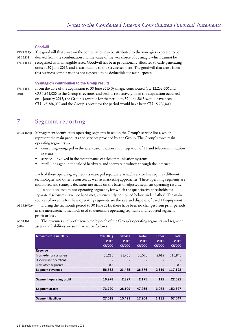#### **Goodwill**

|            | IFRS 3.B64e) The goodwill that arose on the combination can be attributed to the synergies expected to be     |
|------------|---------------------------------------------------------------------------------------------------------------|
| IAS 36.133 | derived from the combination and the value of the workforce of Sysmagic which cannot be                       |
|            | IFRS 3.B64(k) recognised as an intangible asset. Goodwill has been provisionally allocated to cash-generating |
|            | units at 30 June 2015, and is attributable to the service segment. The goodwill that arose from               |
|            | this business combination is not expected to be deductible for tax purposes.                                  |

#### **Sysmagic's contribution to the Group results**

IFRS 3.B64 From the date of the acquisition to 30 June 2015 Sysmagic contributed CU 12,232,000 and (q)(i-ii) CU 1,954,000 to the Group's revenues and profits respectively. Had the acquisition occurred on 1 January 2015, the Group's revenue for the period to 30 June 2015 would have been CU 128,386,000 and the Group's profit for the period would have been CU 15,726,000.

### 7. Segment reporting

IAS 34.16A(g) Management identifies its operating segments based on the Group's service lines, which represent the main products and services provided by the Group. The Group's three main operating segments are:

- consulting engaged in the sale, customisation and integration of IT and telecommunication systems
- service involved in the maintenance of telecommunication systems
- retail engaged in the sale of hardware and software products through the internet.

 Each of these operating segments is managed separately as each service line requires different technologies and other resources, as well as marketing approaches. These operating segments are monitored and strategic decisions are made on the basis of adjusted segment operating results.

 In addition, two minor operating segments, for which the quantitative thresholds for separate disclosures have not been met, are currently combined below under 'other'. The main sources of revenue for these operating segments are the sale and disposal of used IT equipment.

IAS 34.16A(g)(v) During the six month period to 30 June 2015, there have been no changes from prior periods in the measurement methods used to determine operating segments and reported segment profit or loss.

IAS 34.16A The revenues and profit generated by each of the Group's operating segments and segment (g)(i-iv) assets and liabilities are summarised as follows:

| 6 months to June 2015      | <b>Consulting</b><br>2015<br><b>CU'000</b> | <b>Service</b><br>2015<br><b>CU'000</b> | <b>Retail</b><br>2015<br><b>CU'000</b> | <b>Other</b><br>2015<br><b>CU'000</b> | <b>Total</b><br>2015<br><b>CU'000</b> |
|----------------------------|--------------------------------------------|-----------------------------------------|----------------------------------------|---------------------------------------|---------------------------------------|
| Revenue                    |                                            |                                         |                                        |                                       |                                       |
| From external customers    | 56.216                                     | 21.435                                  | 36.576                                 | 2.619                                 | 116.846                               |
| Discontinued operations    | $\qquad \qquad$                            |                                         |                                        |                                       |                                       |
| From other segments        | 346                                        |                                         |                                        | $\qquad \qquad \blacksquare$          | 346                                   |
| <b>Segment revenues</b>    | 56.562                                     | 21.435                                  | 36.576                                 | 2.619                                 | 117.192                               |
| Segment operating profit   | 16.978                                     | 2.827                                   | 2.175                                  | 112                                   | 22.092                                |
|                            |                                            |                                         |                                        |                                       |                                       |
| <b>Segment assets</b>      | 73.720                                     | 28.109                                  | 47.965                                 | 3.033                                 | 152.827                               |
| <b>Segment liabilities</b> | 27.518                                     | 10.493                                  | 17.904                                 | 1.132                                 | 57.047                                |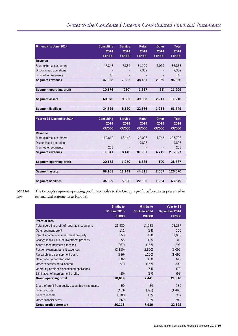| 6 months to June 2014           | <b>Consulting</b>     | <b>Service</b>        | <b>Retail</b>         | <b>Other</b>          | <b>Total</b>          |
|---------------------------------|-----------------------|-----------------------|-----------------------|-----------------------|-----------------------|
|                                 | 2014<br><b>CU'000</b> | 2014<br><b>CU'000</b> | 2014<br><b>CU'000</b> | 2014<br><b>CU'000</b> | 2014<br><b>CU'000</b> |
| Revenue                         |                       |                       |                       |                       |                       |
| From external customers         | 47,843                | 7.832                 | 31,129                | 2,059                 | 88,863                |
| Discontinued operations         |                       |                       | 7,352                 | -                     | 7,352                 |
| From other segments             | 145                   |                       |                       |                       | 145                   |
| <b>Segment revenues</b>         | 47,988                | 7,832                 | 38,481                | 2,059                 | 96,360                |
|                                 |                       |                       |                       |                       |                       |
| <b>Segment operating profit</b> | 10.176                | (280)                 | 1.337                 | (24)                  | 11.209                |
| <b>Segment assets</b>           | 60.076                | 9.835                 | 39,088                | 2.211                 | 111,210               |
| <b>Segment liabilities</b>      | 34.329                | 5.620                 | 22.336                | 1.264                 | 63.549                |

| Year to 31 December 2014        | <b>Consulting</b><br>2014<br><b>CU'000</b> | <b>Service</b><br>2014<br><b>CU'000</b> | <b>Retail</b><br>2014<br><b>CU'000</b> | <b>Other</b><br>2014<br><b>CU'000</b> | <b>Total</b><br>2014<br><b>CU'000</b> |
|---------------------------------|--------------------------------------------|-----------------------------------------|----------------------------------------|---------------------------------------|---------------------------------------|
| Revenue                         |                                            |                                         |                                        |                                       |                                       |
| From external customers         | 110,810                                    | 18.140                                  | 72.098                                 | 4.745                                 | 205,793                               |
| Discontinued operations         | -                                          |                                         | 9.803                                  | -                                     | 9,803                                 |
| From other segments             | 231                                        |                                         |                                        |                                       | 231                                   |
| <b>Segment revenues</b>         | 111.041                                    | 18.140                                  | 81.901                                 | 4.745                                 | 215.827                               |
|                                 |                                            |                                         |                                        |                                       |                                       |
| <b>Segment operating profit</b> | 20.152                                     | 1.250                                   | 6.835                                  | 100                                   | 28.337                                |
| <b>Segment assets</b>           | 68.103                                     | 11.149                                  | 44.311                                 | 2.507                                 | 126,070                               |
|                                 |                                            |                                         |                                        |                                       |                                       |
| <b>Segment liabilities</b>      | 34.329                                     | 5.620                                   | 22.336                                 | 1.264                                 | 63.549                                |

IAS 34.16A The Group's segment operating profit reconciles to the Group's profit before tax as presented in (g)(vi) its financial statements as follows:

|                                                   | 6 mths to<br>30 June 2015<br><b>CU'000</b> | 6 mths to<br>30 June 2014<br><b>CU'000</b> | Year to 31<br>December 2014<br><b>CU'000</b> |
|---------------------------------------------------|--------------------------------------------|--------------------------------------------|----------------------------------------------|
| <b>Profit or loss</b>                             |                                            |                                            |                                              |
| Total operating profit of reportable segments     | 21,980                                     | 11,233                                     | 28,237                                       |
| Other segment profit                              | 112                                        | (24)                                       | 100                                          |
| Rental income from investment property            | 550                                        | 498                                        | 1,066                                        |
| Change in fair value of investment property       | 55                                         | 125                                        | 310                                          |
| Share-based payment expenses                      | (267)                                      | (165)                                      | (298)                                        |
| Post-employment benefit expenses                  | (3, 150)                                   | (2,850)                                    | (6,099)                                      |
| Research and development costs                    | (986)                                      | (1,250)                                    | (1,690)                                      |
| Other income not allocated                        | 502                                        | 180                                        | 618                                          |
| Other expenses not allocated                      | (97)                                       | (165)                                      | (303)                                        |
| Operating profit of discontinued operations       |                                            | (54)                                       | (73)                                         |
| Elimination of intersegment profits               | (80)                                       | (87)                                       | (58)                                         |
| <b>Group operating profit</b>                     | 18,619                                     | 7,441                                      | 21,810                                       |
| Share of profit from equity accounted investments | 50                                         | 84                                         | 135                                          |
| Finance costs                                     | (413)                                      | (393)                                      | (1,490)                                      |
| Finance income                                    | 1,188                                      | 465                                        | 994                                          |
| Other financial items                             | 669                                        | 339                                        | 943                                          |
| Group profit before tax                           | 20,113                                     | 7,936                                      | 22,392                                       |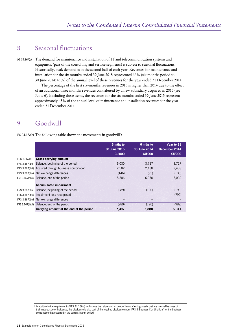## 8. Seasonal fluctuations

IAS 34.16A(b) The demand for maintenance and installation of IT and telecommunication systems and equipment (part of the consulting and service segments) is subject to seasonal fluctuations. Historically, peak demand is in the second half of each year. Revenues for maintenance and installation for the six months ended 30 June 2015 represented 66% (six months period to 30 June 2014: 43%) of the annual level of these revenues for the year ended 31 December 2014.

 The percentage of the first six-months revenues in 2015 is higher than 2014 due to the effect of an additional three months revenues contributed by a new subsidiary acquired in 2015 (see Note 6). Excluding these items, the revenues for the six months ended 30 June 2015 represent approximately 45% of the annual level of maintenance and installation revenues for the year ended 31 December 2014.

### 9. Goodwill

IAS 34.16A(c) The following table shows the movements in goodwill7 :

|                      |                                                         | 6 mths to<br>30 June 2015<br><b>CU'000</b> | 6 mths to<br>30 June 2014<br><b>CU'000</b> | Year to 31<br>December 2014<br><b>CU'000</b> |
|----------------------|---------------------------------------------------------|--------------------------------------------|--------------------------------------------|----------------------------------------------|
| <b>IFRS 3.B67(d)</b> | <b>Gross carrying amount</b>                            |                                            |                                            |                                              |
| IFRS 3.B67(d)(i)     | Balance, beginning of the period                        | 6,030                                      | 3,727                                      | 3,727                                        |
|                      | IFRS 3.B67(d)(ii) Acquired through business combination | 2,502                                      | 2,438                                      | 2,438                                        |
|                      | IFRS 3.B67(d)(vi) Net exchange differences              | (146)                                      | (95)                                       | (135)                                        |
|                      | IFRS 3.B67(d)(viii) Balance, end of the period          | 8,386                                      | 6,070                                      | 6,030                                        |
|                      | <b>Accumulated impairment</b>                           |                                            |                                            |                                              |
| IFRS 3.B67(d)(i)     | Balance, beginning of the period                        | (989)                                      | (190)                                      | (190)                                        |
|                      | IFRS 3.B67(d)(v) Impairment loss recognised             |                                            |                                            | (799)                                        |
|                      | IFRS 3.B67(d)(vi) Net exchange differences              |                                            |                                            |                                              |
| IFRS 3.B67(d)(viii)  | Balance, end of the period                              | (989)                                      | (190)                                      | (989)                                        |
|                      | Carrying amount at the end of the period                | 7.397                                      | 5.880                                      | 5.041                                        |

7 In addition to the requirement of IAS 34.16A(c) to disclose the nature and amount of items affecting assets that are unusual because of their nature, size or incidence, this disclosure is also part of the required disclosure under IFRS 3 'Business Combinations' for the business combination that occurred in the current interim period.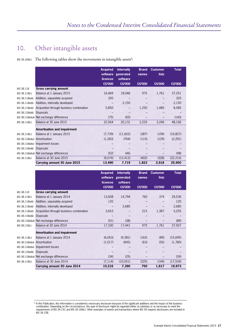# 10. Other intangible assets

 $\text{IAS 34.16A(c)}$  The following tables show the movements in intangible assets<sup>8</sup>:

|                    |                                          | <b>Acquired</b><br>software<br><b>licences</b> | <b>Internally</b><br>generated<br>software | <b>Brand</b><br>names | <b>Customer</b><br><b>lists</b> | <b>Total</b>  |
|--------------------|------------------------------------------|------------------------------------------------|--------------------------------------------|-----------------------|---------------------------------|---------------|
|                    |                                          | <b>CU'000</b>                                  | <b>CU'000</b>                              | <b>CU'000</b>         | <b>CU'000</b>                   | <b>CU'000</b> |
| IAS 38.118         | <b>Gross carrying amount</b>             |                                                |                                            |                       |                                 |               |
| IAS 38.118(c)      | Balance at 1 January 2015                | 16,469                                         | 18,046                                     | 975                   | 1,761                           | 37,251        |
| IAS 38.118(e)(i)   | Addition, separately acquired            | 320                                            |                                            |                       |                                 | 320           |
| IAS 38.118(e)(i)   | Addition, internally developed           |                                                | 2,150                                      |                       |                                 | 2,150         |
| IAS 38.118(e)(i)   | Acquisition through business combination | 5,850                                          |                                            | 1,250                 | 1,485                           | 8,585         |
| IAS 38.118(e)(ii)  | <b>Disposals</b>                         |                                                |                                            |                       |                                 |               |
| IAS 38.118(e)(vii) | Net exchange differences                 | (75)                                           | (65)                                       |                       |                                 | (140)         |
| IAS 38.118(c)      | Balance at 30 June 2015                  | 22,564                                         | 20,131                                     | 2,225                 | 3,246                           | 48,166        |
|                    | <b>Amortisation and impairment</b>       |                                                |                                            |                       |                                 |               |
| IAS 38.118(c)      | Balance at 1 January 2015                | (7,739)                                        | (11,602)                                   | (287)                 | (199)                           | (19, 827)     |
| IAS 38.118(e)(vi)  | Amortisation                             | (1,283)                                        | (764)                                      | (115)                 | (129)                           | (2,291)       |
| IAS 38.118(e)(iv)  | Impairment losses                        |                                                |                                            |                       |                                 |               |
| IAS 38.118(e)(ii)  | <b>Disposals</b>                         |                                                |                                            |                       |                                 |               |
| IAS 38.118(e)(vii) | Net exchange differences                 | (52)                                           | (46)                                       |                       |                                 | (98)          |
| IAS 38.118(c)      | Balance at 30 June 2015                  | (9,074)                                        | (12, 412)                                  | (402)                 | (328)                           | (22, 216)     |
|                    | Carrying amount 30 June 2015             | 13,490                                         | 7,719                                      | 1,823                 | 2,918                           | 25,950        |

|                   |                                             | <b>Acquired</b><br>software<br><b>licences</b> | <b>Internally</b><br>generated<br>software | <b>Brand</b><br>names | <b>Customer</b><br><b>lists</b> | <b>Total</b>  |
|-------------------|---------------------------------------------|------------------------------------------------|--------------------------------------------|-----------------------|---------------------------------|---------------|
|                   |                                             | <b>CU'000</b>                                  | <b>CU'000</b>                              | <b>CU'000</b>         | <b>CU'000</b>                   | <b>CU'000</b> |
| IAS 38.118        | <b>Gross carrying amount</b>                |                                                |                                            |                       |                                 |               |
| IAS 38.118(c)     | Balance at 1 January 2014                   | 13,608                                         | 14,794                                     | 760                   | 374                             | 29,536        |
| IAS 38.118(e)(i)  | Addition, separately acquired               | 120                                            |                                            |                       |                                 | 120           |
| IAS 38.118(e)(i)  | Addition, internally developed              |                                                | 2,685                                      |                       |                                 | 2,685         |
| IAS 38.118(e)(i)  | Acquisition through business combination    | 3,653                                          |                                            | 215                   | 1,387                           | 5,255         |
| IAS 38.118(e)(ii) | <b>Disposals</b>                            |                                                |                                            |                       |                                 |               |
|                   | IAS 38.118(e)(vii) Net exchange differences | (51)                                           | (38)                                       |                       |                                 | (89)          |
| IAS 38.118(c)     | Balance at 30 June 2014                     | 17,330                                         | 17,441                                     | 975                   | 1,761                           | 37,507        |
|                   | <b>Amortisation and impairment</b>          |                                                |                                            |                       |                                 |               |
| IAS 38.118(c)     | Balance at 1 January 2014                   | (6,063)                                        | (9, 381)                                   | (162)                 | (89)                            | (15,695)      |
| IAS 38.118(e)(vi) | Amortisation                                | (1,017)                                        | (645)                                      | (63)                  | (55)                            | (1,780)       |
| IAS 38.118(e)(iv) | Impairment losses                           |                                                |                                            |                       |                                 |               |
| IAS 38.118(e)(ii) | <b>Disposals</b>                            |                                                |                                            |                       |                                 |               |
|                   | IAS 38.118(e)(vii) Net exchange differences | (34)                                           | (25)                                       |                       |                                 | (59)          |
| IAS 38.118(c)     | Balance at 30 June 2014                     | (7, 114)                                       | (10,051)                                   | (225)                 | (144)                           | (17, 534)     |
|                   | Carrying amount 30 June 2014                | 10,216                                         | 7,390                                      | 750                   | 1,617                           | 19,973        |

<sup>&</sup>lt;sup>8</sup> In this Publication, this information is considered a necessary disclosure because of the significant additions and the impact of the business combination. Depending on the circumstances, this type of disclosure might be regarded either as voluntary or as necessary to meet the<br>requirements of IAS 34.15C and IAS 34.16A(c). Other examples of events and transactions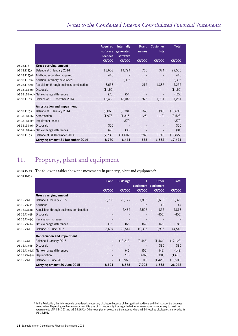|                   |                                             | <b>Acquired</b><br>software<br>licences | <b>Internally</b><br>generated<br>software | <b>Brand</b><br>names | <b>Customer</b><br><b>lists</b> | <b>Total</b>  |  |
|-------------------|---------------------------------------------|-----------------------------------------|--------------------------------------------|-----------------------|---------------------------------|---------------|--|
|                   |                                             | <b>CU'000</b>                           | <b>CU'000</b>                              | <b>CU'000</b>         | <b>CU'000</b>                   | <b>CU'000</b> |  |
| IAS 38.118        | <b>Gross carrying amount</b>                |                                         |                                            |                       |                                 |               |  |
| IAS 38.118(c)     | Balance at 1 January 2014                   | 13,608                                  | 14,794                                     | 760                   | 374                             | 29,536        |  |
| IAS 38.118(e)(i)  | Addition, separately acquired               | 440                                     |                                            | -                     |                                 | 440           |  |
| IAS 38.118(e)(i)  | Addition, internally developed              |                                         | 3,306                                      |                       |                                 | 3,306         |  |
| IAS 38.118(e)(i)  | Acquisition through business combination    | 3,653                                   |                                            | 215                   | 1,387                           | 5,255         |  |
| IAS 38.118(e)(ii) | <b>Disposals</b>                            | (1, 159)                                |                                            |                       |                                 | (1, 159)      |  |
|                   | IAS 38.118(e)(vii) Net exchange differences | (73)                                    | (54)                                       |                       |                                 | (127)         |  |
| IAS 38.118(c)     | Balance at 31 December 2014                 | 16,469                                  | 18,046                                     | 975                   | 1,761                           | 37,251        |  |
|                   | <b>Amortisation and impairment</b>          |                                         |                                            |                       |                                 |               |  |
| IAS 38.118(c)     | Balance at 1 January 2014                   | (6,063)                                 | (9, 381)                                   | (162)                 | (89)                            | (15,695)      |  |
| IAS 38.118(e)(vi) | Amortisation                                | (1,978)                                 | (1, 315)                                   | (125)                 | (110)                           | (3,528)       |  |
| IAS 38.118(e)(iv) | Impairment losses                           |                                         | (870)                                      |                       |                                 | (870)         |  |
| IAS 38.118(e)(ii) | <b>Disposals</b>                            | 350                                     |                                            |                       |                                 | 350           |  |
|                   | IAS 38.118(e)(vii) Net exchange differences | (48)                                    | (36)                                       |                       |                                 | (84)          |  |
| IAS 38.118(c)     | Balance at 31 December 2014                 | (7,739)                                 | (11,602)                                   | (287)                 | (199)                           | (19, 827)     |  |
|                   | Carrying amount 31 December 2014            | 8,730                                   | 6,444                                      | 688                   | 1,562                           | 17,424        |  |

## 11. Property, plant and equipment

 $\,$  AS 34.15B(d) The following tables show the movements in property, plant and equipment  $\,$  .

IAS 34.16A(c)

|                   |                                             | Land              | <b>Buildings</b> | IT            | <b>Other</b>  | <b>Total</b>  |  |
|-------------------|---------------------------------------------|-------------------|------------------|---------------|---------------|---------------|--|
|                   |                                             |                   |                  | equipment     | equipment     |               |  |
|                   |                                             | <b>CU'000</b>     | <b>CU'000</b>    | <b>CU'000</b> | <b>CU'000</b> | <b>CU'000</b> |  |
|                   | <b>Gross carrying amount</b>                |                   |                  |               |               |               |  |
| IAS 16.73(d)      | Balance 1 January 2015                      | 8,709             | 20,177           | 7,806         | 2,630         | 39,322        |  |
| IAS 16.73(e)(i)   | <b>Additions</b>                            |                   |                  | 35            | 12            | 47            |  |
| IAS 16.73(e)(iii) | Acquisition through business combination    | $\qquad \qquad -$ | 2,435            | 2,527         | 856           | 5,818         |  |
| IAS 16.73(e)(ii)  | <b>Disposals</b>                            |                   |                  |               | (456)         | (456)         |  |
| IAS 16.73(e)(iv)  | <b>Revaluation increase</b>                 |                   |                  |               |               |               |  |
|                   | IAS 16.73(e)(viii) Net exchange differences | (15)              | (65)             | (62)          | (46)          | (188)         |  |
| IAS 16.73(d)      | Balance 30 June 2015                        | 8,694             | 22,547           | 10,306        | 2,996         | 44,543        |  |
|                   | Depreciation and impairment                 |                   |                  |               |               |               |  |
| IAS 16.73(d)      | Balance 1 January 2015                      |                   | (13,213)         | (2, 446)      | (1, 464)      | (17, 123)     |  |
| IAS 16.73(e)(ii)  | <b>Disposals</b>                            |                   |                  |               | 385           | 385           |  |
|                   | IAS 16.73(e)(viii) Net exchange differences |                   | (46)             | (55)          | (48)          | (149)         |  |
| IAS 16.73(e)(vii) | Depreciation                                |                   | (710)            | (602)         | (301)         | (1,613)       |  |
| IAS 16.73(d)      | Balance 30 June 2015                        | $\qquad \qquad -$ | (13,969)         | (3,103)       | (1, 428)      | (18,500)      |  |
|                   | Carrying amount 30 June 2015                | 8,694             | 8,578            | 7,203         | 1,568         | 26,043        |  |

<sup>&</sup>lt;sup>9</sup> In this Publication, this information is considered a necessary disclosure because of the significant additions and the impact of the business combination. Depending on the circumstances, this type of disclosure might be regarded either as voluntary or as necessary to meet the<br>requirements of IAS 34.15C and IAS 34.16A(c). Other examples of events and transactions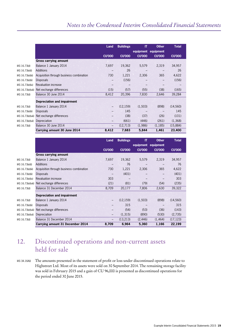|                    |                                          | Land                     | <b>Buildings</b> | IT<br>equipment | <b>Other</b><br>equipment | <b>Total</b>  |  |
|--------------------|------------------------------------------|--------------------------|------------------|-----------------|---------------------------|---------------|--|
|                    |                                          | <b>CU'000</b>            | <b>CU'000</b>    | <b>CU'000</b>   | <b>CU'000</b>             | <b>CU'000</b> |  |
|                    | <b>Gross carrying amount</b>             |                          |                  |                 |                           |               |  |
| IAS 16.73(d)       | Balance 1 January 2014                   | 7,697                    | 19,362           | 5,579           | 2,319                     | 34,957        |  |
| IAS 16.73(e)(i)    | <b>Additions</b>                         |                          | 26               |                 |                           | 26            |  |
| IAS 16.73(e)(iii)  | Acquisition through business combination | 730                      | 1,221            | 2,306           | 365                       | 4,622         |  |
| IAS 16.73(e)(ii)   | <b>Disposals</b>                         |                          | (156)            |                 |                           | (156)         |  |
| IAS 16.73(e)(iv)   | Revaluation increase                     |                          |                  |                 |                           |               |  |
| IAS 16.73(e)(viii) | Net exchange differences                 | (15)                     | (57)             | (55)            | (38)                      | (165)         |  |
| IAS 16.73(d)       | Balance 30 June 2014                     | 8,412                    | 20,396           | 7,830           | 2,646                     | 39,284        |  |
|                    | <b>Depreciation and impairment</b>       |                          |                  |                 |                           |               |  |
| IAS 16.73(d)       | Balance 1 January 2014                   | $\overline{\phantom{a}}$ | (12, 159)        | (1,503)         | (898)                     | (14, 560)     |  |
| IAS 16.73(e)(ii)   | <b>Disposals</b>                         |                          | 145              |                 |                           | 145           |  |
| IAS 16.73(e)(viii) | Net exchange differences                 | $\qquad \qquad -$        | (38)             | (37)            | (26)                      | (101)         |  |
| IAS 16.73(e)(vii)  | Depreciation                             | -                        | (661)            | (446)           | (261)                     | (1,368)       |  |
| IAS 16.73(d)       | Balance 30 June 2014                     | $\qquad \qquad -$        | (12, 713)        | (1,986)         | (1, 185)                  | (15,884)      |  |
|                    | Carrying amount 30 June 2014             | 8.412                    | 7.683            | 5,844           | 1,461                     | 23,400        |  |

|                    |                                          | Land              | <b>Buildings</b> | IT<br>equipment | <b>Other</b><br>equipment | <b>Total</b>  |  |
|--------------------|------------------------------------------|-------------------|------------------|-----------------|---------------------------|---------------|--|
|                    |                                          | <b>CU'000</b>     | <b>CU'000</b>    | <b>CU'000</b>   | <b>CU'000</b>             | <b>CU'000</b> |  |
|                    | <b>Gross carrying amount</b>             |                   |                  |                 |                           |               |  |
| IAS 16.73(d)       | Balance 1 January 2014                   | 7,697             | 19,362           | 5,579           | 2,319                     | 34,957        |  |
| IAS 16.73(e)(i)    | <b>Additions</b>                         |                   | 76               |                 |                           | 76            |  |
| IAS 16.73(e)(iii)  | Acquisition through business combination | 730               | 1,221            | 2,306           | 365                       | 4,622         |  |
| IAS 16.73(e)(ii)   | <b>Disposals</b>                         |                   | (401)            |                 |                           | (401)         |  |
| IAS 16.73(e)(iv)   | Revaluation increase                     | 303               |                  |                 |                           | 303           |  |
| IAS 16.73(e)(viii) | Net exchange differences                 | (21)              | (81)             | (79)            | (54)                      | (235)         |  |
| IAS 16.73(d)       | Balance 31 December 2014                 | 8,709             | 20,177           | 7,806           | 2,630                     | 39,322        |  |
|                    | <b>Depreciation and impairment</b>       |                   |                  |                 |                           |               |  |
| IAS 16.73(d)       | Balance 1 January 2014                   | $\qquad \qquad -$ | (12, 159)        | (1,503)         | (898)                     | (14, 560)     |  |
| IAS 16.73(e)(ii)   | <b>Disposals</b>                         |                   | 315              |                 |                           | 315           |  |
| IAS 16.73(e)(viii) | Net exchange differences                 | $\qquad \qquad -$ | (54)             | (53)            | (36)                      | (143)         |  |
| IAS 16.73(e)(vii)  | Depreciation                             | $\qquad \qquad -$ | (1, 315)         | (890)           | (530)                     | (2,735)       |  |
| IAS 16.73(d)       | Balance 31 December 2014                 | $\qquad \qquad -$ | (13,213)         | (2, 446)        | (1, 464)                  | (17, 123)     |  |
|                    | Carrying amount 31 December 2014         | 8,709             | 6,964            | 5,360           | 1,166                     | 22,199        |  |

# 12. Discontinued operations and non-current assets held for sale

IAS 34.16A(i) The amounts presented in the statement of profit or loss under discontinued operations relate to Highstreet Ltd. Most of its assets were sold on 30 September 2014. The remaining storage facility was sold in February 2015 and a gain of CU 96,000 is presented as discontinued operations for the period ended 30 June 2015.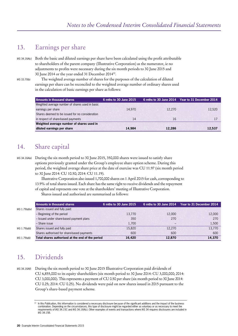## 13. Earnings per share

- IAS 34.16A(c) Both the basic and diluted earnings per share have been calculated using the profit attributable to shareholders of the parent company (Illustrative Corporation) as the numerator, ie no adjustments to profits were necessary during the six month periods to 30 June 2015 and 30 June 2014 or the year ended 31 December 201410.
- IAS 33.70(b) The weighted average number of shares for the purposes of the calculation of diluted earnings per share can be reconciled to the weighted average number of ordinary shares used in the calculation of basic earnings per share as follows:

| <b>Amounts in thousand shares</b>               | 6 mths to 30 June 2015 |        | 6 mths to 30 June 2014 Year to 31 December 2014 |
|-------------------------------------------------|------------------------|--------|-------------------------------------------------|
| Weighted average number of shares used in basic |                        |        |                                                 |
| earnings per share                              | 14.970                 | 12.270 | 12.520                                          |
| Shares deemed to be issued for no consideration |                        |        |                                                 |
| in respect of share-based payments              | 14                     | 16     |                                                 |
| Weighted average number of shares used in       |                        |        |                                                 |
| diluted earnings per share                      | 14.984                 | 12.286 | 12.537                                          |

### 14. Share capital

IAS 34.16A(e) During the six month period to 30 June 2015, 350,000 shares were issued to satisfy share options previously granted under the Group's employee share option scheme. During this period, the weighted average share price at the date of exercise was CU 11.97 (six month period to 30 June 2014: CU 10.50; 2014: CU 11.19).

 Illustrative Corporation also issued 1,700,000 shares on 1 April 2015 for cash, corresponding to 13.9% of total shares issued. Each share has the same right to receive dividends and the repayment of capital and represents one vote at the shareholders' meeting of Illustrative Corporation.

Shares issued and authorised are summarised as follows:

|                 | Amounts in thousand shares                       | 6 mths to 30 June 2015 | 6 mths to 30 June 2014 | Year to 31 December 2014 |
|-----------------|--------------------------------------------------|------------------------|------------------------|--------------------------|
| IAS 1.79(a)(iv) | Shares issued and fully paid:                    |                        |                        |                          |
|                 | - Beginning of the period                        | 13,770                 | 12,000                 | 12,000                   |
|                 | - Issued under share-based payment plans         | 350                    | 270                    | 270                      |
|                 | - Share issue                                    | 1.700                  |                        | 1,500                    |
| IAS 1.79(a)(ii) | Shares issued and fully paid                     | 15,820                 | 12.270                 | 13,770                   |
|                 | Shares authorised for share-based payments       | 600                    | 600                    | 600                      |
| IAS 1.79(a)(i)  | Total shares authorised at the end of the period | 16.420                 | 12.870                 | 14,370                   |

## 15. Dividends

IAS 34.16A(f) During the six month period to 30 June 2015 Illustrative Corporation paid dividends of CU 6,855,000 to its equity shareholders (six month period to 30 June 2014: CU 3,000,000; 2014: CU 3,000,000). This represents a payment of CU 0.50 per share (six month period to 30 June 2014: CU 0.25; 2014: CU 0.25). No dividends were paid on new shares issued in 2015 pursuant to the Group's share-based payment scheme.

<sup>&</sup>lt;sup>10</sup> In this Publication, this information is considered a necessary disclosure because of the significant additions and the impact of the business combination. Depending on the circumstances, this type of disclosure might be regarded either as voluntary or as necessary to meet the requirements of IAS 34.15C and IAS 34.16A(c). Other examples of events and transactions where IAS 34 requires disclosures are included in IAS 34.15B.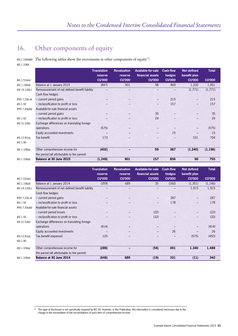# 16. Other components of equity

IAS 1.106(d)(ii) The following tables show the movements in other components of equity<sup>11</sup>:

IAS 1.106A

|                  |                                                | <b>Translation</b><br>reserve | <b>Revaluation</b><br>reserve | Available-for-sale<br>financial assets | <b>Cash-flow</b><br>hedges | <b>Net defined</b><br>benefit plan | <b>Total</b>  |
|------------------|------------------------------------------------|-------------------------------|-------------------------------|----------------------------------------|----------------------------|------------------------------------|---------------|
| IAS 1.51(d-e)    |                                                | <b>CU'000</b>                 | <b>CU'000</b>                 | <b>CU'000</b>                          | <b>CU'000</b>              | <b>CU'000</b>                      | <b>CU'000</b> |
| IAS 1.106(d)     | Balance at 1 January 2015                      | (847)                         | 901                           | 98                                     | 469                        | 1,330                              | 1,951         |
| IAS 19.120(c)    | Remeasurement of net defined benefit liability |                               |                               |                                        |                            | (1,771)                            | (1,771)       |
|                  | Cash flow hedges                               |                               |                               |                                        |                            |                                    |               |
| IFRS 7.23(c-d)   | - current period gains                         |                               |                               |                                        | 215                        |                                    | 215           |
| <b>IAS 1.92</b>  | - reclassification to profit or loss           |                               |                               |                                        | 157                        |                                    | 157           |
| IFRS 7.20(a)(ii) | Available-for-sale financial assets            |                               |                               |                                        |                            |                                    |               |
|                  | - current period gains                         |                               |                               | 35                                     |                            |                                    | 35            |
| <b>IAS 1.92</b>  | - reclassification to profit or loss           |                               |                               | 24                                     |                            |                                    | 24            |
| IAS 21.52(b)     | Exchange differences on translating foreign    |                               |                               |                                        |                            |                                    |               |
|                  | operations                                     | (575)                         |                               |                                        |                            |                                    | (575)         |
|                  | Equity accounted investments                   |                               |                               |                                        | 15                         |                                    | 15            |
| IAS 12.81(a),    | Tax benefit                                    | 173                           |                               |                                        |                            | 531                                | 704           |
| <b>IAS 1.90</b>  |                                                |                               |                               |                                        |                            |                                    |               |
| IAS 1.106(a)     | Other comprehensive income for                 | (402)                         | -                             | 59                                     | 387                        | (1, 240)                           | (1, 196)      |
|                  | the period (all attributable to the parent)    |                               |                               |                                        |                            |                                    |               |
| IAS 1.106(d)     | Balance at 30 June 2015                        | (1, 249)                      | 901                           | 157                                    | 856                        | 90                                 | 755           |

|                  |                                                | <b>Translation</b><br>reserve | <b>Revaluation</b><br>reserve | <b>Available-for-sale</b><br>financial assets | <b>Cash-flow</b><br>hedges | <b>Net defined</b><br>benefit plan | <b>Total</b>  |
|------------------|------------------------------------------------|-------------------------------|-------------------------------|-----------------------------------------------|----------------------------|------------------------------------|---------------|
| IAS 1.51(d-e)    |                                                | <b>CU'000</b>                 | <b>CU'000</b>                 | <b>CU'000</b>                                 | <b>CU'000</b>              | <b>CU'000</b>                      | <b>CU'000</b> |
| IAS 1.106(d)     | Balance at 1 January 2014                      | (359)                         | 689                           | 35                                            | (160)                      | (1, 351)                           | (1, 146)      |
| IAS 19.120(c)    | Remeasurement of net defined benefit liability |                               |                               |                                               |                            | 1,915                              | 1,915         |
|                  | Cash flow hedges                               |                               |                               |                                               |                            |                                    |               |
| IFRS 7.23(c-d)   | - current period gains                         |                               |                               |                                               | 287                        |                                    | 287           |
| <b>IAS 1.92</b>  | - reclassification to profit or loss           |                               |                               |                                               | 178                        |                                    | 178           |
| IFRS 7.20(a)(ii) | Available-for-sale financial assets            |                               |                               |                                               |                            |                                    |               |
|                  | - current period losses                        |                               |                               | (22)                                          |                            | $\qquad \qquad -$                  | (22)          |
| <b>IAS 1.92</b>  | - reclassification to profit or loss           |                               |                               | (32)                                          |                            | $\qquad \qquad -$                  | (32)          |
| IAS 21.52(b)     | Exchange differences on translating foreign    |                               |                               |                                               |                            |                                    |               |
|                  | operations                                     | (414)                         |                               |                                               |                            |                                    | (414)         |
|                  | Equity accounted investments                   |                               |                               |                                               | 26                         |                                    | 26            |
| IAS 12.81(a),    | Tax benefit (expense)                          | 125                           |                               |                                               |                            | (575)                              | (450)         |
| <b>IAS 1.90</b>  |                                                |                               |                               |                                               |                            |                                    |               |
| IAS 1.106(a)     | Other comprehensive income for                 | (289)                         |                               | (54)                                          | 491                        | 1,340                              | 1,488         |
|                  | the period (all attributable to the parent)    |                               |                               |                                               |                            |                                    |               |
| IAS 1.106(d)     | Balance at 30 June 2014                        | (648)                         | 689                           | (19)                                          | 331                        | (11)                               | 342           |

<sup>11</sup> This type of disclosure is not specifically required by IAS 34. However, in this Publication, this information is considered necessary due to the change in the presentation of the reconciliations of each item of compr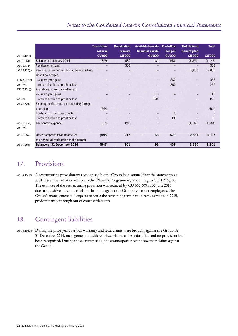|                  |                                                | <b>Translation</b><br>reserve | <b>Revaluation</b><br>reserve | <b>Available-for-sale</b><br>financial assets | <b>Cash-flow</b><br>hedges | <b>Net defined</b><br>benefit plan | <b>Total</b>  |
|------------------|------------------------------------------------|-------------------------------|-------------------------------|-----------------------------------------------|----------------------------|------------------------------------|---------------|
| IAS 1.51(d-e)    |                                                | <b>CU'000</b>                 | <b>CU'000</b>                 | <b>CU'000</b>                                 | <b>CU'000</b>              | <b>CU'000</b>                      | <b>CU'000</b> |
| IAS 1.106(d)     | Balance at 1 January 2014                      | (359)                         | 689                           | 35                                            | (160)                      | (1, 351)                           | (1, 146)      |
| IAS 16.77(f)     | Revaluation of land                            | $\overline{\phantom{0}}$      | 303                           |                                               |                            |                                    | 303           |
| IAS 19.120(c)    | Remeasurement of net defined benefit liability |                               |                               |                                               |                            | 3,830                              | 3,830         |
|                  | Cash flow hedges                               |                               |                               |                                               |                            |                                    |               |
| IFRS 7.23(c-d)   | - current year gains                           |                               |                               |                                               | 367                        |                                    | 367           |
| <b>IAS 1.92</b>  | - reclassification to profit or loss           |                               |                               |                                               | 260                        | $\qquad \qquad -$                  | 260           |
| IFRS 7.20(a)(ii) | Available-for-sale financial assets            |                               |                               |                                               |                            |                                    |               |
|                  | - current year gains                           |                               |                               | 113                                           |                            |                                    | 113           |
| <b>IAS 1.92</b>  | - reclassification to profit or loss           |                               |                               | (50)                                          |                            | $\qquad \qquad -$                  | (50)          |
| IAS 21.52(b)     | Exchange differences on translating foreign    |                               |                               |                                               |                            |                                    |               |
|                  | operations                                     | (664)                         |                               |                                               |                            | $\qquad \qquad -$                  | (664)         |
|                  | Equity accounted investments                   |                               |                               |                                               | 5                          |                                    | 5             |
|                  | - reclassification to profit or loss           |                               |                               |                                               | (3)                        |                                    | (3)           |
| IAS 12.81(a),    | Tax benefit (expense)                          | 176                           | (91)                          |                                               | $\qquad \qquad -$          | (1, 149)                           | (1,064)       |
| <b>IAS 1.90</b>  |                                                |                               |                               |                                               |                            |                                    |               |
| IAS 1.106(a)     | Other comprehensive income for                 | (488)                         | 212                           | 63                                            | 629                        | 2,681                              | 3,097         |
|                  | the period (all attributable to the parent)    |                               |                               |                                               |                            |                                    |               |
| IAS 1.106(d)     | <b>Balance at 31 December 2014</b>             | (847)                         | 901                           | 98                                            | 469                        | 1,330                              | 1,951         |

### 17. Provisions

IAS 34.15B(c) A restructuring provision was recognised by the Group in its annual financial statements as at 31 December 2014 in relation to the 'Phoenix Programme', amounting to CU 1,215,000. The estimate of the restructuring provision was reduced by CU 600,000 at 30 June 2015 due to a positive outcome of claims brought against the Group by former employees. The Group's management still expects to settle the remaining termination remuneration in 2015, predominantly through out of court settlements.

## 18. Contingent liabilities

IAS 34.15B(m) During the prior year, various warranty and legal claims were brought against the Group. At 31 December 2014, management considered these claims to be unjustified and no provision had been recognised. During the current period, the counterparties withdrew their claims against the Group.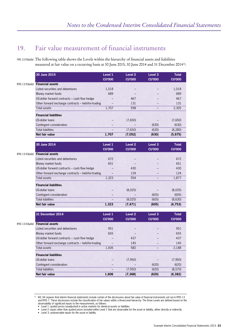## 19. Fair value measurement of financial instruments

FRS 13.93(a)(b) The following table shows the Levels within the hierarchy of financial assets and liabilities measured at fair value on a recurring basis at 30 June 2015, 30 June 2014 and 31 December 201412:

| 30 June 2015                                        | Level 1<br><b>CU'000</b> | Level <sub>2</sub><br><b>CU'000</b> | Level <sub>3</sub><br><b>CU'000</b> | <b>Total</b><br><b>CU'000</b> |
|-----------------------------------------------------|--------------------------|-------------------------------------|-------------------------------------|-------------------------------|
| IFRS 13.93(a)(b) Financial assets                   |                          |                                     |                                     |                               |
| Listed securities and debentures                    | 1,018                    |                                     |                                     | 1,018                         |
| Money market funds                                  | 689                      |                                     |                                     | 689                           |
|                                                     |                          | 467                                 |                                     | 467                           |
| US-dollar forward contracts - cash flow hedge       |                          |                                     |                                     |                               |
| Other forward exchange contracts - held-for-trading |                          | 131                                 |                                     | 131                           |
| <b>Total assets</b>                                 | 1,707                    | 598                                 |                                     | 2,305                         |
| <b>Financial liabilities</b>                        |                          |                                     |                                     |                               |
| <b>US-dollar loans</b>                              |                          | (7,650)                             |                                     | (7,650)                       |
| Contingent consideration                            |                          |                                     | (630)                               | (630)                         |
| <b>Total liabilities</b>                            |                          | (7,650)                             | (630)                               | (8, 280)                      |
| Net fair value                                      | 1,707                    | (7,052)                             | (630)                               | (5, 975)                      |
|                                                     |                          |                                     |                                     |                               |
| 30 June 2014                                        | Level 1                  | Level <sub>2</sub>                  | Level 3                             | <b>Total</b>                  |
|                                                     | <b>CU'000</b>            | <b>CU'000</b>                       | <b>CU'000</b>                       | <b>CU'000</b>                 |
| IFRS 13.93(a)(b) Financial assets                   |                          |                                     |                                     |                               |
| Listed securities and debentures                    | 672                      |                                     |                                     | 672                           |
| Money market funds                                  | 651                      |                                     |                                     | 651                           |
| US-dollar forward contracts - cash flow hedge       |                          | 430                                 |                                     | 430                           |
| Other forward exchange contracts - held-for-trading |                          | 124                                 |                                     | 124                           |
| <b>Total assets</b>                                 | 1,323                    | 554                                 |                                     | 1,877                         |
|                                                     |                          |                                     |                                     |                               |
| <b>Financial liabilities</b>                        |                          |                                     |                                     |                               |
| <b>US-dollar loans</b>                              |                          | (8,025)                             |                                     | (8,025)                       |
| Contingent consideration                            |                          |                                     | (605)                               | (605)                         |
| <b>Total liabilities</b>                            |                          | (8,025)                             | (605)                               | (8,630)                       |
| Net fair value                                      | 1,323                    | (7, 471)                            | (605)                               | (6, 753)                      |

| 31 December 2014                                    | Level 1<br><b>CU'000</b> | Level 2<br><b>CU'000</b> | Level 3<br><b>CU'000</b> | <b>Total</b><br><b>CU'000</b> |
|-----------------------------------------------------|--------------------------|--------------------------|--------------------------|-------------------------------|
| IFRS 13.93(a)(b) Financial assets                   |                          |                          |                          |                               |
| Listed securities and debentures                    | 951                      |                          |                          | 951                           |
| Money market funds                                  | 655                      |                          |                          | 655                           |
| US-dollar forward contracts - cash flow hedge       |                          | 437                      |                          | 437                           |
| Other forward exchange contracts – held-for-trading |                          | 145                      |                          | 145                           |
| Total assets                                        | 1,606                    | 582                      |                          | 2,188                         |
| <b>Financial liabilities</b>                        |                          |                          |                          |                               |
| US-dollar loans                                     |                          | (7,950)                  |                          | (7,950)                       |
| Contingent consideration                            |                          |                          | (620)                    | (620)                         |
| <b>Total liabilities</b>                            |                          | (7,950)                  | (620)                    | (8,570)                       |
| <b>Net fair value</b>                               | 1.606                    | (7, 368)                 | (620)                    | (6, 382)                      |

<sup>13</sup> AS 34 requires that interim financial statements include certain of the disclosures about fair value of financial instruments set out in IFRS 13<br>and IFRS 7. These disclosures include the classification of fair values wi observability of significant inputs to the measurement, as follows:

<sup>●</sup> Level 1: quoted prices (unadjusted) in active markets for identical assets or liabilities<br>● Level 2: inputs other than quoted prices included within Level 1 that are observable for the asset or liability, either directl

<sup>•</sup> Level 3: unobservable inputs for the asset or liability.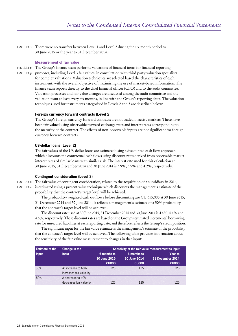IFRS 13.93(c) There were no transfers between Level 1 and Level 2 during the six month period to 30 June 2015 or the year to 31 December 2014.

#### **Measurement of fair value**

IFRS 13.93(d), The Group's finance team performs valuations of financial items for financial reporting  $IFRS 13.93(g)$  purposes, including Level 3 fair values, in consultation with third party valuation specialists for complex valuations. Valuation techniques are selected based the characteristics of each instrument, with the overall objective of maximising the use of market-based information. The finance team reports directly to the chief financial officer (CFO) and to the audit committee. Valuation processes and fair value changes are discussed among the audit committee and the valuation team at least every six months, in line with the Group's reporting dates. The valuation techniques used for instruments categorised in Levels 2 and 3 are described below:

#### **Foreign currency forward contracts (Level 2)**

 The Group's foreign currency forward contracts are not traded in active markets. These have been fair valued using observable forward exchange rates and interest rates corresponding to the maturity of the contract. The effects of non-observable inputs are not significant for foreign currency forward contracts.

#### **US-dollar loans (Level 2)**

 The fair values of the US-dollar loans are estimated using a discounted cash flow approach, which discounts the contractual cash flows using discount rates derived from observable market interest rates of similar loans with similar risk. The interest rate used for this calculation at 30 June 2015, 31 December 2014 and 30 June 2014 is 3.9%, 3.9% and 4.2%, respectively.

#### **Contingent consideration (Level 3)**

IFRS 13.93(d), The fair value of contingent consideration, related to the acquisition of a subsidiary in 2014, IFRS 13.93(h) is estimated using a present value technique which discounts the management's estimate of the probability that the contract's target level will be achieved.

> The probability-weighted cash outflows before discounting are CU 655,000 at 30 June 2015, 31 December 2014 and 30 June 2014. It reflects a management's estimate of a 50% probability that the contract's target level will be achieved.

> The discount rate used at 30 June 2015, 31 December 2014 and 30 June 2014 is 4.4%, 4.4% and 4.6%, respectively. These discount rates are based on the Group's estimated incremental borrowing rate for unsecured liabilities at each reporting date, and therefore reflects the Group's credit position.

> The significant input for the fair value estimate is the management's estimate of the probability that the contract's target level will be achieved. The following table provides information about the sensitivity of the fair value measurement to changes in that input:

| <b>Estimate of the</b> | Change in the           | Sensitivity of the fair value measurement to input |              |                  |  |  |
|------------------------|-------------------------|----------------------------------------------------|--------------|------------------|--|--|
| <i>input</i>           | <i>input</i>            | 6 months to                                        | 6 months to  | Year to          |  |  |
|                        |                         | 30 June 2015                                       | 30 June 2014 | 31 December 2014 |  |  |
|                        |                         | <b>CU000</b>                                       | <b>CUOOO</b> | <b>CUOOO</b>     |  |  |
| 50%                    | An increase to 60%      | 125                                                | 125          | 125              |  |  |
|                        | increases fair value by |                                                    |              |                  |  |  |
| 50%                    | A decrease to 40%       |                                                    |              |                  |  |  |
|                        | decreases fair value by | 125                                                | 125          | 125              |  |  |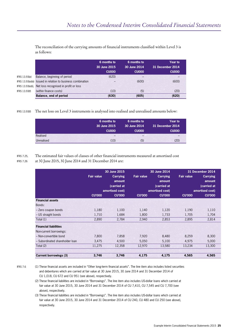The reconciliation of the carrying amounts of financial instruments classified within Level 3 is as follows:

|                      |                                                               | 6 months to<br>30 June 2015<br><b>CU000</b> | 6 months to<br>30 June 2014<br><b>CUOOO</b> | Year to<br>31 December 2014<br><b>CUOOO</b> |
|----------------------|---------------------------------------------------------------|---------------------------------------------|---------------------------------------------|---------------------------------------------|
| IFRS 13.93(e)        | Balance, beginning of period                                  | (620)                                       |                                             |                                             |
|                      | IFRS 13.93(e)(iii) Issued in relation to business combination |                                             | (600)                                       | (600)                                       |
|                      | IFRS 13.93(e)(i). Net loss recognised in profit or loss       |                                             |                                             |                                             |
| <b>IFRS 13.93(f)</b> | (within finance costs)                                        | (10)                                        | (5)                                         | (20)                                        |
|                      | <b>Balance, end of period</b>                                 | (630)                                       | (605)                                       | (620)                                       |

IFRS 13.93(f) The net loss on Level 3 instruments is analysed into realised and unrealised amounts below:

|            | 6 months to<br>30 June 2015<br><b>CUOOO</b> | 6 months to<br>30 June 2014<br><b>CUOOO</b> | Year to<br>31 December 2014<br><b>CU000</b> |
|------------|---------------------------------------------|---------------------------------------------|---------------------------------------------|
| Realised   | $\qquad \qquad$                             | -                                           |                                             |
| Unrealised | (10)                                        | (5)                                         | (20)                                        |

IFRS 7.25, The estimated fair values of classes of other financial instruments measured at amortised cost

IFRS 7.26 at 30 June 2015, 30 June 2014 and 31 December 2014 are:

|                                 |                   | 30 June 2015    |                   | 30 June 2014    |                   | 31 December 2014 |
|---------------------------------|-------------------|-----------------|-------------------|-----------------|-------------------|------------------|
|                                 | <b>Fair value</b> | <b>Carrying</b> | <b>Fair value</b> | <b>Carrying</b> | <b>Fair value</b> | <b>Carrying</b>  |
|                                 |                   | amount          |                   | amount          |                   | amount           |
|                                 |                   | (carried at     |                   | (carried at     |                   | (carried at      |
|                                 |                   | amortised cost) |                   | amortised cost) | amortised cost)   |                  |
|                                 | <b>CU'000</b>     | <b>CU'000</b>   | <b>CU'000</b>     | <b>CU'000</b>   | <b>CU'000</b>     | <b>CU'000</b>    |
| <b>Financial assets</b>         |                   |                 |                   |                 |                   |                  |
| Bonds:                          |                   |                 |                   |                 |                   |                  |
| - Zero coupon bonds             | 1,180             | 1,100           | 1,140             | 1,120           | 1,190             | 1,110            |
| - US straight bonds             | 1,710             | 1,684           | 1,800             | 1,733           | 1,705             | 1,704            |
| Total (1)                       | 2,890             | 2,784           | 2,940             | 2,853           | 2,895             | 2,814            |
| <b>Financial liabilities</b>    |                   |                 |                   |                 |                   |                  |
| Non-current borrowings:         |                   |                 |                   |                 |                   |                  |
| - Non-convertible bond          | 7,800             | 7,858           | 7,920             | 8,480           | 8,259             | 8,300            |
| - Subordinated shareholder loan | 3,475             | 4,500           | 5,050             | 5,100           | 4,975             | 5,000            |
| Total (2)                       | 11,275            | 12,358          | 12,970            | 13,580          | 13,234            | 13,300           |
|                                 |                   |                 |                   |                 |                   |                  |
| <b>Current borrowings (3)</b>   | 3,746             | 3.746           | 4,175             | 4,175           | 4,565             | 4,565            |

IFRS 7.6 (1) These financial assets are included in ''Other long-term financial assets''. The line item also includes listed securities and debentures which are carried at fair value at 30 June 2015, 30 June 2014 and 31 December 2014 of CU 1,018, CU 672 and CU 951 (see above), respectively.

- (2) These financial liabilities are included in ''Borrowings''. The line item also includes US-dollar loans which carried at fair value at 30 June 2015, 30 June 2014 and 31 December 2014 of CU 7,410, CU 7,545 and CU 7,700 (see above), respectively.
- (3) These financial liabilities are included in ''Borrowings''. The line item also includes US-dollar loans which carried at fair value at 30 June 2015, 30 June 2014 and 31 December 2014 of CU 240, CU 480 and CU 250 (see above), respectively.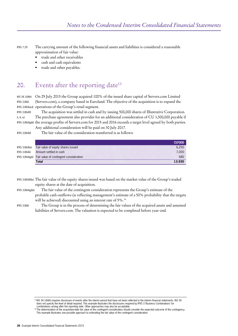IFRS 7.29 The carrying amount of the following financial assets and liabilities is considered a reasonable approximation of fair value:

- trade and other receivables
- cash and cash equivalents
- trade and other payables.

### 20. Events after the reporting date<sup>13</sup>

IAS 34.16A(h) On 29 July 2015 the Group acquired 100% of the issued share capital of Servers.com Limited IFRS 3.B66 (Servers.com), a company based in Euroland. The objective of the acquisition is to expand the IFRS 3.B64(a-d) operations of the Group's retail segment.

IFRS 3.B64(f) The acquisition was settled in cash and by issuing 500,000 shares of Illustrative Corporation.  $(i, ii, iv)$  The purchase agreement also provides for an additional consideration of CU 1,500,000 payable if IFRS 3.B64(g)(ii) the average profits of Servers.com for 2015 and 2016 exceeds a target level agreed by both parties.

Any additional consideration will be paid on 30 July 2017.

IFRS 3.B64(f) The fair value of the consideration transferred is as follows:

|                      |                                                           | CU'OOO |
|----------------------|-----------------------------------------------------------|--------|
| IFRS 3.B64(iv)       | Fair value of equity shares issued                        | 6.250  |
| <b>IFRS 3.B64(i)</b> | Amount settled in cash                                    | 7.000  |
|                      | IFRS $3.B64(g)(i)$ Fair value of contingent consideration | 680    |
|                      | <b>Total</b>                                              | 13.930 |

IFRS 3.B64(f)(iv) The fair value of the equity shares issued was based on the market value of the Group's traded equity shares at the date of acquisition.

- IFRS 3.B64(g)(iii) The fair value of the contingent consideration represents the Group's estimate of the probable cash outflows (ie reflecting management's estimate of a 50% probability that the targets will be achieved) discounted using an interest rate of 5%.<sup>14</sup>
- IFRS 3.B66 The Group is in the process of determining the fair values of the acquired assets and assumed liabilities of Servers.com. The valuation is expected to be completed before year-end.

<sup>13</sup> IAS 34.16A(h) requires disclosure of events after the interim period that have not been reflected in the interim financial statements. IAS 34 does not specify the level of detail required. This example illustrates the disclosures required by IFRS 3 'Business Combinations' for

combinations arising after the reporting date. Other approaches may also be acceptable.<br><sup>14</sup> The determination of the acquisition-date fair value of the contingent consideration should consider the expected outcome of the This example illustrates one possible approach to estimating the fair value of the contingent consideration.